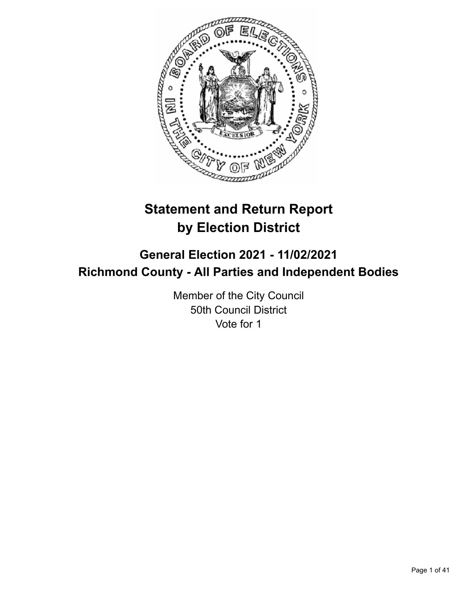

# **Statement and Return Report by Election District**

# **General Election 2021 - 11/02/2021 Richmond County - All Parties and Independent Bodies**

Member of the City Council 50th Council District Vote for 1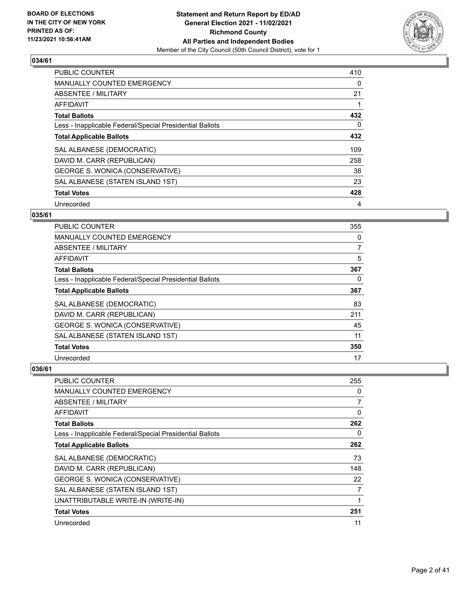

| <b>PUBLIC COUNTER</b>                                    | 410 |
|----------------------------------------------------------|-----|
| <b>MANUALLY COUNTED EMERGENCY</b>                        | 0   |
| ABSENTEE / MILITARY                                      | 21  |
| AFFIDAVIT                                                |     |
| <b>Total Ballots</b>                                     | 432 |
| Less - Inapplicable Federal/Special Presidential Ballots | 0   |
| <b>Total Applicable Ballots</b>                          | 432 |
| SAL ALBANESE (DEMOCRATIC)                                | 109 |
| DAVID M. CARR (REPUBLICAN)                               | 258 |
| GEORGE S. WONICA (CONSERVATIVE)                          | 38  |
| SAL ALBANESE (STATEN ISLAND 1ST)                         | 23  |
| <b>Total Votes</b>                                       | 428 |
| Unrecorded                                               | 4   |

# **035/61**

| <b>PUBLIC COUNTER</b>                                    | 355            |
|----------------------------------------------------------|----------------|
| MANUALLY COUNTED EMERGENCY                               | 0              |
| ABSENTEE / MILITARY                                      | $\overline{7}$ |
| AFFIDAVIT                                                | 5              |
| <b>Total Ballots</b>                                     | 367            |
| Less - Inapplicable Federal/Special Presidential Ballots | 0              |
| <b>Total Applicable Ballots</b>                          | 367            |
| SAL ALBANESE (DEMOCRATIC)                                | 83             |
| DAVID M. CARR (REPUBLICAN)                               | 211            |
| GEORGE S. WONICA (CONSERVATIVE)                          | 45             |
| SAL ALBANESE (STATEN ISLAND 1ST)                         | 11             |
| <b>Total Votes</b>                                       | 350            |
| Unrecorded                                               | 17             |

| <b>PUBLIC COUNTER</b>                                    | 255 |
|----------------------------------------------------------|-----|
| <b>MANUALLY COUNTED EMERGENCY</b>                        | 0   |
| ABSENTEE / MILITARY                                      | 7   |
| AFFIDAVIT                                                | 0   |
| <b>Total Ballots</b>                                     | 262 |
| Less - Inapplicable Federal/Special Presidential Ballots | 0   |
| <b>Total Applicable Ballots</b>                          | 262 |
| SAL ALBANESE (DEMOCRATIC)                                | 73  |
| DAVID M. CARR (REPUBLICAN)                               | 148 |
| GEORGE S. WONICA (CONSERVATIVE)                          | 22  |
| SAL ALBANESE (STATEN ISLAND 1ST)                         | 7   |
| UNATTRIBUTABLE WRITE-IN (WRITE-IN)                       | 1   |
| <b>Total Votes</b>                                       | 251 |
| Unrecorded                                               | 11  |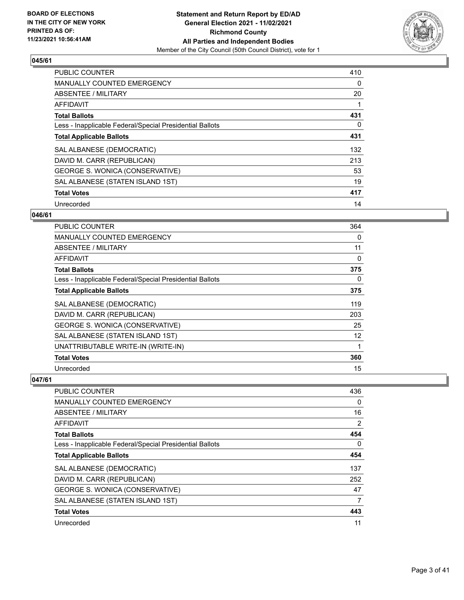

| <b>PUBLIC COUNTER</b>                                    | 410 |
|----------------------------------------------------------|-----|
| <b>MANUALLY COUNTED EMERGENCY</b>                        | 0   |
| ABSENTEE / MILITARY                                      | 20  |
| <b>AFFIDAVIT</b>                                         |     |
| <b>Total Ballots</b>                                     | 431 |
| Less - Inapplicable Federal/Special Presidential Ballots | 0   |
| <b>Total Applicable Ballots</b>                          | 431 |
| SAL ALBANESE (DEMOCRATIC)                                | 132 |
| DAVID M. CARR (REPUBLICAN)                               | 213 |
| GEORGE S. WONICA (CONSERVATIVE)                          | 53  |
| SAL ALBANESE (STATEN ISLAND 1ST)                         | 19  |
| <b>Total Votes</b>                                       | 417 |
| Unrecorded                                               | 14  |

# **046/61**

| PUBLIC COUNTER                                           | 364 |
|----------------------------------------------------------|-----|
| <b>MANUALLY COUNTED EMERGENCY</b>                        | 0   |
| <b>ABSENTEE / MILITARY</b>                               | 11  |
| <b>AFFIDAVIT</b>                                         | 0   |
| <b>Total Ballots</b>                                     | 375 |
| Less - Inapplicable Federal/Special Presidential Ballots | 0   |
| <b>Total Applicable Ballots</b>                          | 375 |
| SAL ALBANESE (DEMOCRATIC)                                | 119 |
| DAVID M. CARR (REPUBLICAN)                               | 203 |
| GEORGE S. WONICA (CONSERVATIVE)                          | 25  |
| SAL ALBANESE (STATEN ISLAND 1ST)                         | 12  |
| UNATTRIBUTABLE WRITE-IN (WRITE-IN)                       | 1   |
| <b>Total Votes</b>                                       | 360 |
| Unrecorded                                               | 15  |

| PUBLIC COUNTER                                           | 436      |
|----------------------------------------------------------|----------|
| <b>MANUALLY COUNTED EMERGENCY</b>                        | $\Omega$ |
| ABSENTEE / MILITARY                                      | 16       |
| AFFIDAVIT                                                | 2        |
| <b>Total Ballots</b>                                     | 454      |
| Less - Inapplicable Federal/Special Presidential Ballots | 0        |
| <b>Total Applicable Ballots</b>                          | 454      |
| SAL ALBANESE (DEMOCRATIC)                                | 137      |
| DAVID M. CARR (REPUBLICAN)                               | 252      |
| GEORGE S. WONICA (CONSERVATIVE)                          | 47       |
| SAL ALBANESE (STATEN ISLAND 1ST)                         | 7        |
| <b>Total Votes</b>                                       | 443      |
| Unrecorded                                               | 11       |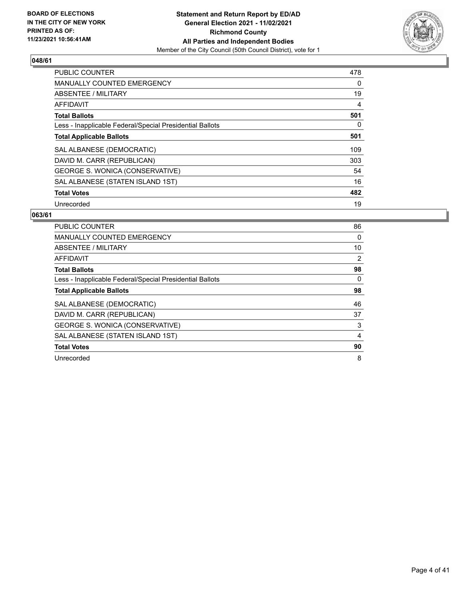

| <b>PUBLIC COUNTER</b>                                    | 478 |
|----------------------------------------------------------|-----|
| <b>MANUALLY COUNTED EMERGENCY</b>                        | 0   |
| ABSENTEE / MILITARY                                      | 19  |
| AFFIDAVIT                                                | 4   |
| <b>Total Ballots</b>                                     | 501 |
| Less - Inapplicable Federal/Special Presidential Ballots | 0   |
| <b>Total Applicable Ballots</b>                          | 501 |
| SAL ALBANESE (DEMOCRATIC)                                | 109 |
| DAVID M. CARR (REPUBLICAN)                               | 303 |
| GEORGE S. WONICA (CONSERVATIVE)                          | 54  |
| SAL ALBANESE (STATEN ISLAND 1ST)                         | 16  |
| <b>Total Votes</b>                                       | 482 |
| Unrecorded                                               | 19  |

| <b>PUBLIC COUNTER</b>                                    | 86 |
|----------------------------------------------------------|----|
| <b>MANUALLY COUNTED EMERGENCY</b>                        | 0  |
| ABSENTEE / MILITARY                                      | 10 |
| AFFIDAVIT                                                | 2  |
| <b>Total Ballots</b>                                     | 98 |
| Less - Inapplicable Federal/Special Presidential Ballots | 0  |
| <b>Total Applicable Ballots</b>                          | 98 |
| SAL ALBANESE (DEMOCRATIC)                                | 46 |
| DAVID M. CARR (REPUBLICAN)                               | 37 |
| GEORGE S. WONICA (CONSERVATIVE)                          | 3  |
| SAL ALBANESE (STATEN ISLAND 1ST)                         | 4  |
| <b>Total Votes</b>                                       | 90 |
| Unrecorded                                               | 8  |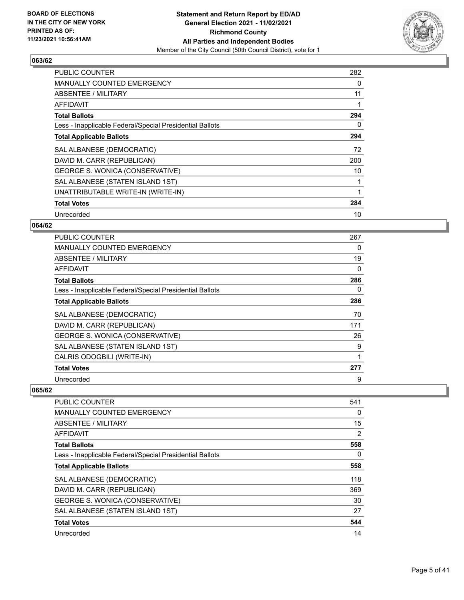

| <b>PUBLIC COUNTER</b>                                    | 282 |
|----------------------------------------------------------|-----|
| <b>MANUALLY COUNTED EMERGENCY</b>                        | 0   |
| <b>ABSENTEE / MILITARY</b>                               | 11  |
| AFFIDAVIT                                                |     |
| <b>Total Ballots</b>                                     | 294 |
| Less - Inapplicable Federal/Special Presidential Ballots | 0   |
| <b>Total Applicable Ballots</b>                          | 294 |
| SAL ALBANESE (DEMOCRATIC)                                | 72  |
| DAVID M. CARR (REPUBLICAN)                               | 200 |
| GEORGE S. WONICA (CONSERVATIVE)                          | 10  |
| SAL ALBANESE (STATEN ISLAND 1ST)                         | 1   |
| UNATTRIBUTABLE WRITE-IN (WRITE-IN)                       |     |
| <b>Total Votes</b>                                       | 284 |
| Unrecorded                                               | 10  |

# **064/62**

| <b>PUBLIC COUNTER</b>                                    | 267 |
|----------------------------------------------------------|-----|
| <b>MANUALLY COUNTED EMERGENCY</b>                        | 0   |
| <b>ABSENTEE / MILITARY</b>                               | 19  |
| <b>AFFIDAVIT</b>                                         | 0   |
| <b>Total Ballots</b>                                     | 286 |
| Less - Inapplicable Federal/Special Presidential Ballots | 0   |
| <b>Total Applicable Ballots</b>                          | 286 |
| SAL ALBANESE (DEMOCRATIC)                                | 70  |
| DAVID M. CARR (REPUBLICAN)                               | 171 |
| GEORGE S. WONICA (CONSERVATIVE)                          | 26  |
| SAL ALBANESE (STATEN ISLAND 1ST)                         | 9   |
| CALRIS ODOGBILI (WRITE-IN)                               |     |
| <b>Total Votes</b>                                       | 277 |
| Unrecorded                                               | 9   |

| <b>PUBLIC COUNTER</b>                                    | 541      |
|----------------------------------------------------------|----------|
| <b>MANUALLY COUNTED EMERGENCY</b>                        | 0        |
| ABSENTEE / MILITARY                                      | 15       |
| AFFIDAVIT                                                | 2        |
| <b>Total Ballots</b>                                     | 558      |
| Less - Inapplicable Federal/Special Presidential Ballots | $\Omega$ |
| <b>Total Applicable Ballots</b>                          | 558      |
| SAL ALBANESE (DEMOCRATIC)                                | 118      |
| DAVID M. CARR (REPUBLICAN)                               | 369      |
| GEORGE S. WONICA (CONSERVATIVE)                          | 30       |
| SAL ALBANESE (STATEN ISLAND 1ST)                         | 27       |
| <b>Total Votes</b>                                       | 544      |
| Unrecorded                                               | 14       |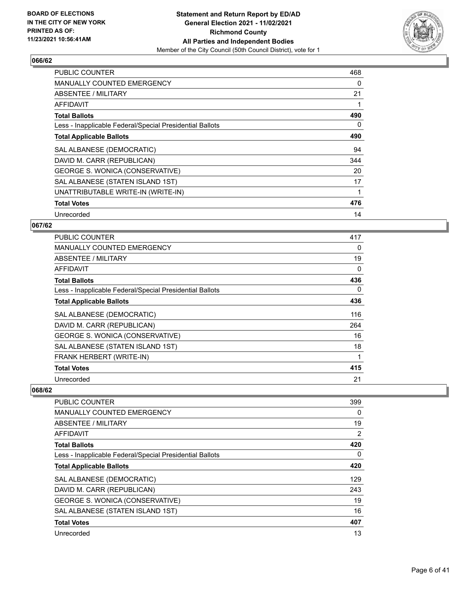

| <b>PUBLIC COUNTER</b>                                    | 468 |
|----------------------------------------------------------|-----|
| <b>MANUALLY COUNTED EMERGENCY</b>                        | 0   |
| <b>ABSENTEE / MILITARY</b>                               | 21  |
| <b>AFFIDAVIT</b>                                         |     |
| <b>Total Ballots</b>                                     | 490 |
| Less - Inapplicable Federal/Special Presidential Ballots | 0   |
| <b>Total Applicable Ballots</b>                          | 490 |
| SAL ALBANESE (DEMOCRATIC)                                | 94  |
| DAVID M. CARR (REPUBLICAN)                               | 344 |
| GEORGE S. WONICA (CONSERVATIVE)                          | 20  |
| SAL ALBANESE (STATEN ISLAND 1ST)                         | 17  |
| UNATTRIBUTABLE WRITE-IN (WRITE-IN)                       |     |
| <b>Total Votes</b>                                       | 476 |
| Unrecorded                                               | 14  |

# **067/62**

| <b>PUBLIC COUNTER</b>                                    | 417 |
|----------------------------------------------------------|-----|
| <b>MANUALLY COUNTED EMERGENCY</b>                        | 0   |
| <b>ABSENTEE / MILITARY</b>                               | 19  |
| AFFIDAVIT                                                | 0   |
| <b>Total Ballots</b>                                     | 436 |
| Less - Inapplicable Federal/Special Presidential Ballots | 0   |
| <b>Total Applicable Ballots</b>                          | 436 |
| SAL ALBANESE (DEMOCRATIC)                                | 116 |
| DAVID M. CARR (REPUBLICAN)                               | 264 |
| GEORGE S. WONICA (CONSERVATIVE)                          | 16  |
| SAL ALBANESE (STATEN ISLAND 1ST)                         | 18  |
| FRANK HERBERT (WRITE-IN)                                 | 1   |
| <b>Total Votes</b>                                       | 415 |
| Unrecorded                                               | 21  |

| <b>PUBLIC COUNTER</b>                                    | 399 |
|----------------------------------------------------------|-----|
| <b>MANUALLY COUNTED EMERGENCY</b>                        | 0   |
| ABSENTEE / MILITARY                                      | 19  |
| AFFIDAVIT                                                | 2   |
| <b>Total Ballots</b>                                     | 420 |
| Less - Inapplicable Federal/Special Presidential Ballots | 0   |
| <b>Total Applicable Ballots</b>                          | 420 |
| SAL ALBANESE (DEMOCRATIC)                                | 129 |
| DAVID M. CARR (REPUBLICAN)                               | 243 |
| GEORGE S. WONICA (CONSERVATIVE)                          | 19  |
| SAL ALBANESE (STATEN ISLAND 1ST)                         | 16  |
| <b>Total Votes</b>                                       | 407 |
| Unrecorded                                               | 13  |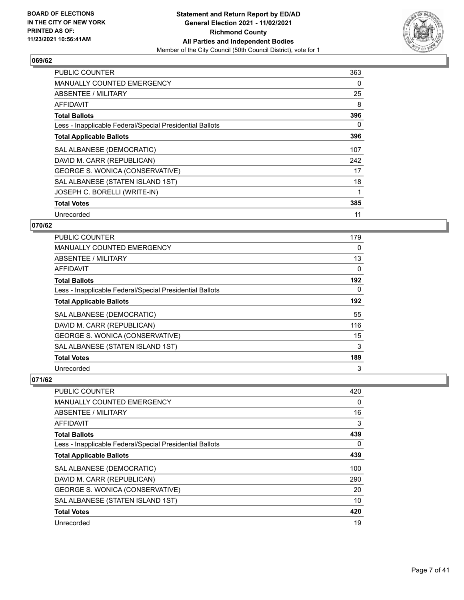

| <b>PUBLIC COUNTER</b>                                    | 363 |
|----------------------------------------------------------|-----|
| <b>MANUALLY COUNTED EMERGENCY</b>                        | 0   |
| ABSENTEE / MILITARY                                      | 25  |
| <b>AFFIDAVIT</b>                                         | 8   |
| <b>Total Ballots</b>                                     | 396 |
| Less - Inapplicable Federal/Special Presidential Ballots | 0   |
| <b>Total Applicable Ballots</b>                          | 396 |
| SAL ALBANESE (DEMOCRATIC)                                | 107 |
| DAVID M. CARR (REPUBLICAN)                               | 242 |
| GEORGE S. WONICA (CONSERVATIVE)                          | 17  |
| SAL ALBANESE (STATEN ISLAND 1ST)                         | 18  |
| JOSEPH C. BORELLI (WRITE-IN)                             |     |
| <b>Total Votes</b>                                       | 385 |
| Unrecorded                                               | 11  |

# **070/62**

| PUBLIC COUNTER                                           | 179      |
|----------------------------------------------------------|----------|
| <b>MANUALLY COUNTED EMERGENCY</b>                        | 0        |
| ABSENTEE / MILITARY                                      | 13       |
| AFFIDAVIT                                                | 0        |
| <b>Total Ballots</b>                                     | 192      |
| Less - Inapplicable Federal/Special Presidential Ballots | $\Omega$ |
| <b>Total Applicable Ballots</b>                          | 192      |
| SAL ALBANESE (DEMOCRATIC)                                | 55       |
| DAVID M. CARR (REPUBLICAN)                               | 116      |
| GEORGE S. WONICA (CONSERVATIVE)                          | 15       |
| SAL ALBANESE (STATEN ISLAND 1ST)                         | 3        |
| <b>Total Votes</b>                                       | 189      |
| Unrecorded                                               | 3        |

| <b>PUBLIC COUNTER</b>                                    | 420 |
|----------------------------------------------------------|-----|
| MANUALLY COUNTED EMERGENCY                               | 0   |
| ABSENTEE / MILITARY                                      | 16  |
| AFFIDAVIT                                                | 3   |
| <b>Total Ballots</b>                                     | 439 |
| Less - Inapplicable Federal/Special Presidential Ballots | 0   |
| <b>Total Applicable Ballots</b>                          | 439 |
| SAL ALBANESE (DEMOCRATIC)                                | 100 |
| DAVID M. CARR (REPUBLICAN)                               | 290 |
| GEORGE S. WONICA (CONSERVATIVE)                          | 20  |
| SAL ALBANESE (STATEN ISLAND 1ST)                         | 10  |
| <b>Total Votes</b>                                       | 420 |
| Unrecorded                                               | 19  |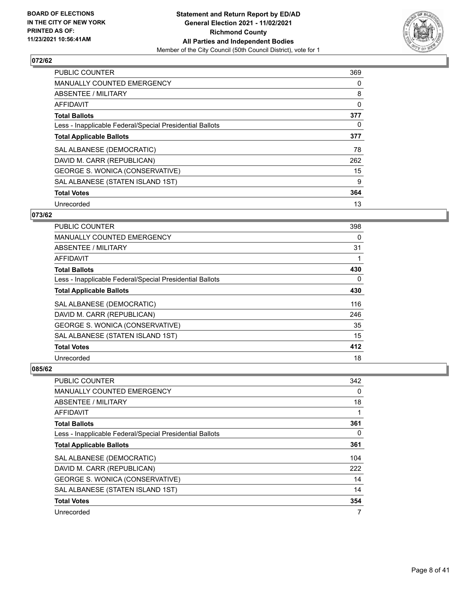

| <b>PUBLIC COUNTER</b>                                    | 369 |
|----------------------------------------------------------|-----|
| <b>MANUALLY COUNTED EMERGENCY</b>                        | 0   |
| ABSENTEE / MILITARY                                      | 8   |
| AFFIDAVIT                                                | 0   |
| <b>Total Ballots</b>                                     | 377 |
| Less - Inapplicable Federal/Special Presidential Ballots | 0   |
| <b>Total Applicable Ballots</b>                          | 377 |
| SAL ALBANESE (DEMOCRATIC)                                | 78  |
| DAVID M. CARR (REPUBLICAN)                               | 262 |
| GEORGE S. WONICA (CONSERVATIVE)                          | 15  |
| SAL ALBANESE (STATEN ISLAND 1ST)                         | 9   |
| <b>Total Votes</b>                                       | 364 |
| Unrecorded                                               | 13  |

# **073/62**

| PUBLIC COUNTER                                           | 398 |
|----------------------------------------------------------|-----|
| <b>MANUALLY COUNTED EMERGENCY</b>                        | 0   |
| ABSENTEE / MILITARY                                      | 31  |
| AFFIDAVIT                                                |     |
| <b>Total Ballots</b>                                     | 430 |
| Less - Inapplicable Federal/Special Presidential Ballots | 0   |
| <b>Total Applicable Ballots</b>                          | 430 |
| SAL ALBANESE (DEMOCRATIC)                                | 116 |
| DAVID M. CARR (REPUBLICAN)                               | 246 |
| <b>GEORGE S. WONICA (CONSERVATIVE)</b>                   | 35  |
| SAL ALBANESE (STATEN ISLAND 1ST)                         | 15  |
| <b>Total Votes</b>                                       | 412 |
| Unrecorded                                               | 18  |

| PUBLIC COUNTER                                           | 342 |
|----------------------------------------------------------|-----|
| MANUALLY COUNTED EMERGENCY                               | 0   |
| ABSENTEE / MILITARY                                      | 18  |
| AFFIDAVIT                                                | 1   |
| <b>Total Ballots</b>                                     | 361 |
| Less - Inapplicable Federal/Special Presidential Ballots | 0   |
| <b>Total Applicable Ballots</b>                          | 361 |
| SAL ALBANESE (DEMOCRATIC)                                | 104 |
| DAVID M. CARR (REPUBLICAN)                               | 222 |
| GEORGE S. WONICA (CONSERVATIVE)                          | 14  |
| SAL ALBANESE (STATEN ISLAND 1ST)                         | 14  |
| <b>Total Votes</b>                                       | 354 |
| Unrecorded                                               | 7   |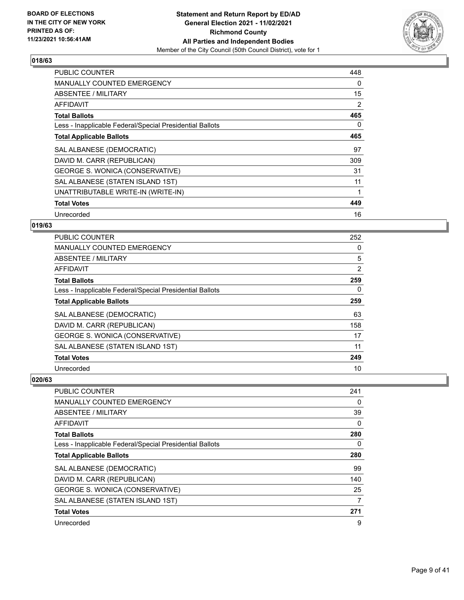

| <b>PUBLIC COUNTER</b>                                    | 448 |
|----------------------------------------------------------|-----|
| <b>MANUALLY COUNTED EMERGENCY</b>                        | 0   |
| ABSENTEE / MILITARY                                      | 15  |
| AFFIDAVIT                                                | 2   |
| <b>Total Ballots</b>                                     | 465 |
| Less - Inapplicable Federal/Special Presidential Ballots | 0   |
| <b>Total Applicable Ballots</b>                          | 465 |
| SAL ALBANESE (DEMOCRATIC)                                | 97  |
| DAVID M. CARR (REPUBLICAN)                               | 309 |
| GEORGE S. WONICA (CONSERVATIVE)                          | 31  |
| SAL ALBANESE (STATEN ISLAND 1ST)                         | 11  |
| UNATTRIBUTABLE WRITE-IN (WRITE-IN)                       |     |
| <b>Total Votes</b>                                       | 449 |
| Unrecorded                                               | 16  |

# **019/63**

| PUBLIC COUNTER                                           | 252 |
|----------------------------------------------------------|-----|
| <b>MANUALLY COUNTED EMERGENCY</b>                        | 0   |
| ABSENTEE / MILITARY                                      | 5   |
| AFFIDAVIT                                                | 2   |
| <b>Total Ballots</b>                                     | 259 |
| Less - Inapplicable Federal/Special Presidential Ballots | 0   |
| <b>Total Applicable Ballots</b>                          | 259 |
| SAL ALBANESE (DEMOCRATIC)                                | 63  |
| DAVID M. CARR (REPUBLICAN)                               | 158 |
| GEORGE S. WONICA (CONSERVATIVE)                          | 17  |
| SAL ALBANESE (STATEN ISLAND 1ST)                         | 11  |
| <b>Total Votes</b>                                       | 249 |
| Unrecorded                                               | 10  |

| PUBLIC COUNTER                                           | 241      |
|----------------------------------------------------------|----------|
| MANUALLY COUNTED EMERGENCY                               | 0        |
| ABSENTEE / MILITARY                                      | 39       |
| AFFIDAVIT                                                | 0        |
| <b>Total Ballots</b>                                     | 280      |
| Less - Inapplicable Federal/Special Presidential Ballots | $\Omega$ |
| <b>Total Applicable Ballots</b>                          | 280      |
| SAL ALBANESE (DEMOCRATIC)                                | 99       |
| DAVID M. CARR (REPUBLICAN)                               | 140      |
| <b>GEORGE S. WONICA (CONSERVATIVE)</b>                   | 25       |
| SAL ALBANESE (STATEN ISLAND 1ST)                         | 7        |
| <b>Total Votes</b>                                       | 271      |
| Unrecorded                                               | 9        |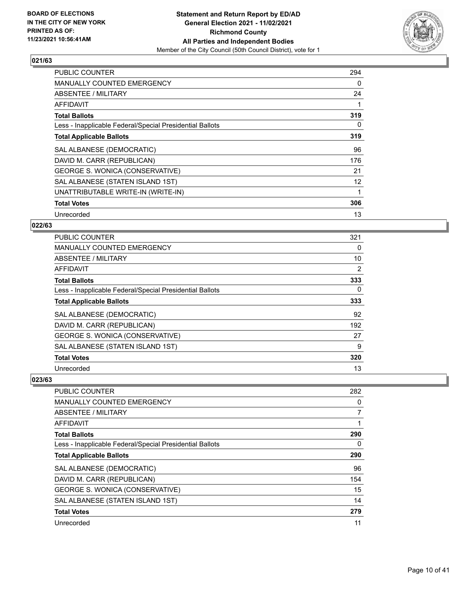

| <b>PUBLIC COUNTER</b>                                    | 294 |
|----------------------------------------------------------|-----|
| <b>MANUALLY COUNTED EMERGENCY</b>                        | 0   |
| ABSENTEE / MILITARY                                      | 24  |
| AFFIDAVIT                                                |     |
| <b>Total Ballots</b>                                     | 319 |
| Less - Inapplicable Federal/Special Presidential Ballots | 0   |
| <b>Total Applicable Ballots</b>                          | 319 |
| SAL ALBANESE (DEMOCRATIC)                                | 96  |
| DAVID M. CARR (REPUBLICAN)                               | 176 |
| GEORGE S. WONICA (CONSERVATIVE)                          | 21  |
| SAL ALBANESE (STATEN ISLAND 1ST)                         | 12  |
| UNATTRIBUTABLE WRITE-IN (WRITE-IN)                       |     |
| <b>Total Votes</b>                                       | 306 |
| Unrecorded                                               | 13  |

# **022/63**

| PUBLIC COUNTER                                           | 321            |
|----------------------------------------------------------|----------------|
| <b>MANUALLY COUNTED EMERGENCY</b>                        | $\Omega$       |
| ABSENTEE / MILITARY                                      | 10             |
| AFFIDAVIT                                                | $\overline{2}$ |
| <b>Total Ballots</b>                                     | 333            |
| Less - Inapplicable Federal/Special Presidential Ballots | $\Omega$       |
| <b>Total Applicable Ballots</b>                          | 333            |
| SAL ALBANESE (DEMOCRATIC)                                | 92             |
| DAVID M. CARR (REPUBLICAN)                               | 192            |
| GEORGE S. WONICA (CONSERVATIVE)                          | 27             |
| SAL ALBANESE (STATEN ISLAND 1ST)                         | 9              |
| <b>Total Votes</b>                                       | 320            |
| Unrecorded                                               | 13             |

| PUBLIC COUNTER                                           | 282            |
|----------------------------------------------------------|----------------|
| MANUALLY COUNTED EMERGENCY                               | $\Omega$       |
| ABSENTEE / MILITARY                                      | $\overline{7}$ |
| AFFIDAVIT                                                |                |
| <b>Total Ballots</b>                                     | 290            |
| Less - Inapplicable Federal/Special Presidential Ballots | $\Omega$       |
| <b>Total Applicable Ballots</b>                          | 290            |
| SAL ALBANESE (DEMOCRATIC)                                | 96             |
| DAVID M. CARR (REPUBLICAN)                               | 154            |
| <b>GEORGE S. WONICA (CONSERVATIVE)</b>                   | 15             |
| SAL ALBANESE (STATEN ISLAND 1ST)                         | 14             |
| <b>Total Votes</b>                                       | 279            |
| Unrecorded                                               | 11             |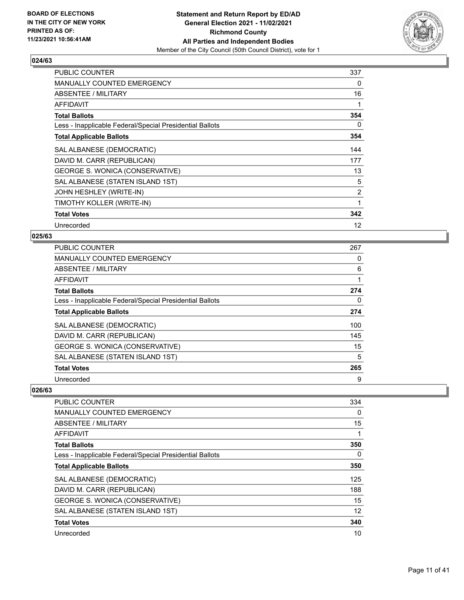

| <b>PUBLIC COUNTER</b>                                    | 337 |
|----------------------------------------------------------|-----|
| <b>MANUALLY COUNTED EMERGENCY</b>                        | 0   |
| ABSENTEE / MILITARY                                      | 16  |
| AFFIDAVIT                                                | 1   |
| <b>Total Ballots</b>                                     | 354 |
| Less - Inapplicable Federal/Special Presidential Ballots | 0   |
| <b>Total Applicable Ballots</b>                          | 354 |
| SAL ALBANESE (DEMOCRATIC)                                | 144 |
| DAVID M. CARR (REPUBLICAN)                               | 177 |
| GEORGE S. WONICA (CONSERVATIVE)                          | 13  |
| SAL ALBANESE (STATEN ISLAND 1ST)                         | 5   |
| JOHN HESHLEY (WRITE-IN)                                  | 2   |
| TIMOTHY KOLLER (WRITE-IN)                                | 1   |
| <b>Total Votes</b>                                       | 342 |
| Unrecorded                                               | 12  |

#### **025/63**

| <b>PUBLIC COUNTER</b>                                    | 267      |
|----------------------------------------------------------|----------|
| MANUALLY COUNTED EMERGENCY                               | 0        |
| ABSENTEE / MILITARY                                      | 6        |
| AFFIDAVIT                                                | 1        |
| <b>Total Ballots</b>                                     | 274      |
| Less - Inapplicable Federal/Special Presidential Ballots | $\Omega$ |
| <b>Total Applicable Ballots</b>                          | 274      |
| SAL ALBANESE (DEMOCRATIC)                                | 100      |
| DAVID M. CARR (REPUBLICAN)                               | 145      |
| GEORGE S. WONICA (CONSERVATIVE)                          | 15       |
| SAL ALBANESE (STATEN ISLAND 1ST)                         | 5        |
| <b>Total Votes</b>                                       | 265      |
| Unrecorded                                               | 9        |

| <b>PUBLIC COUNTER</b>                                    | 334 |
|----------------------------------------------------------|-----|
| <b>MANUALLY COUNTED EMERGENCY</b>                        | 0   |
| ABSENTEE / MILITARY                                      | 15  |
| AFFIDAVIT                                                |     |
| <b>Total Ballots</b>                                     | 350 |
| Less - Inapplicable Federal/Special Presidential Ballots | 0   |
| <b>Total Applicable Ballots</b>                          | 350 |
| SAL ALBANESE (DEMOCRATIC)                                | 125 |
| DAVID M. CARR (REPUBLICAN)                               | 188 |
| GEORGE S. WONICA (CONSERVATIVE)                          | 15  |
| SAL ALBANESE (STATEN ISLAND 1ST)                         | 12  |
| <b>Total Votes</b>                                       | 340 |
| Unrecorded                                               | 10  |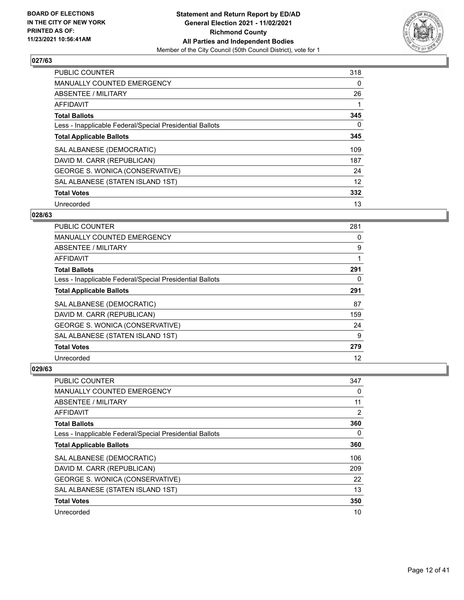

| <b>PUBLIC COUNTER</b>                                    | 318 |
|----------------------------------------------------------|-----|
| MANUALLY COUNTED EMERGENCY                               | 0   |
| ABSENTEE / MILITARY                                      | 26  |
| <b>AFFIDAVIT</b>                                         |     |
| <b>Total Ballots</b>                                     | 345 |
| Less - Inapplicable Federal/Special Presidential Ballots | 0   |
| <b>Total Applicable Ballots</b>                          | 345 |
| SAL ALBANESE (DEMOCRATIC)                                | 109 |
| DAVID M. CARR (REPUBLICAN)                               | 187 |
| GEORGE S. WONICA (CONSERVATIVE)                          | 24  |
| SAL ALBANESE (STATEN ISLAND 1ST)                         | 12  |
| <b>Total Votes</b>                                       | 332 |
| Unrecorded                                               | 13  |

# **028/63**

| PUBLIC COUNTER                                           | 281 |
|----------------------------------------------------------|-----|
| MANUALLY COUNTED EMERGENCY                               | 0   |
| ABSENTEE / MILITARY                                      | 9   |
| AFFIDAVIT                                                |     |
| <b>Total Ballots</b>                                     | 291 |
| Less - Inapplicable Federal/Special Presidential Ballots | 0   |
| <b>Total Applicable Ballots</b>                          | 291 |
| SAL ALBANESE (DEMOCRATIC)                                | 87  |
| DAVID M. CARR (REPUBLICAN)                               | 159 |
| GEORGE S. WONICA (CONSERVATIVE)                          | 24  |
| SAL ALBANESE (STATEN ISLAND 1ST)                         | 9   |
| <b>Total Votes</b>                                       | 279 |
| Unrecorded                                               | 12  |

| <b>PUBLIC COUNTER</b>                                    | 347 |
|----------------------------------------------------------|-----|
| MANUALLY COUNTED EMERGENCY                               | 0   |
| ABSENTEE / MILITARY                                      | 11  |
| AFFIDAVIT                                                | 2   |
| <b>Total Ballots</b>                                     | 360 |
| Less - Inapplicable Federal/Special Presidential Ballots | 0   |
| <b>Total Applicable Ballots</b>                          | 360 |
| SAL ALBANESE (DEMOCRATIC)                                | 106 |
| DAVID M. CARR (REPUBLICAN)                               | 209 |
| GEORGE S. WONICA (CONSERVATIVE)                          | 22  |
| SAL ALBANESE (STATEN ISLAND 1ST)                         | 13  |
| <b>Total Votes</b>                                       | 350 |
| Unrecorded                                               | 10  |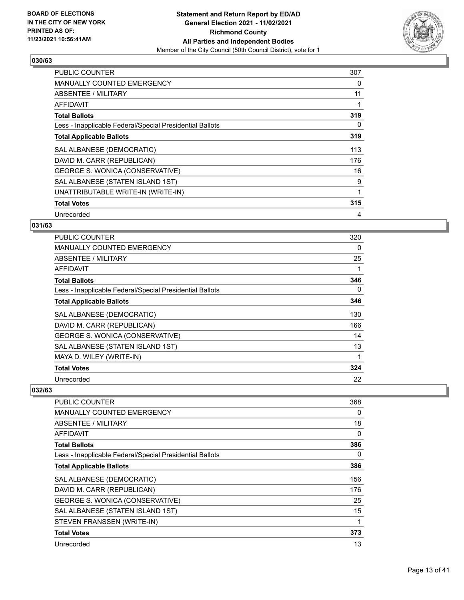

| <b>PUBLIC COUNTER</b>                                    | 307 |
|----------------------------------------------------------|-----|
| <b>MANUALLY COUNTED EMERGENCY</b>                        | 0   |
| ABSENTEE / MILITARY                                      | 11  |
| AFFIDAVIT                                                |     |
| <b>Total Ballots</b>                                     | 319 |
| Less - Inapplicable Federal/Special Presidential Ballots | 0   |
| <b>Total Applicable Ballots</b>                          | 319 |
| SAL ALBANESE (DEMOCRATIC)                                | 113 |
| DAVID M. CARR (REPUBLICAN)                               | 176 |
| GEORGE S. WONICA (CONSERVATIVE)                          | 16  |
| SAL ALBANESE (STATEN ISLAND 1ST)                         | 9   |
| UNATTRIBUTABLE WRITE-IN (WRITE-IN)                       | 1   |
| <b>Total Votes</b>                                       | 315 |
| Unrecorded                                               | 4   |

# **031/63**

| <b>PUBLIC COUNTER</b>                                    | 320 |
|----------------------------------------------------------|-----|
| <b>MANUALLY COUNTED EMERGENCY</b>                        | 0   |
| ABSENTEE / MILITARY                                      | 25  |
| AFFIDAVIT                                                |     |
| <b>Total Ballots</b>                                     | 346 |
| Less - Inapplicable Federal/Special Presidential Ballots | 0   |
| <b>Total Applicable Ballots</b>                          | 346 |
| SAL ALBANESE (DEMOCRATIC)                                | 130 |
| DAVID M. CARR (REPUBLICAN)                               | 166 |
| GEORGE S. WONICA (CONSERVATIVE)                          | 14  |
| SAL ALBANESE (STATEN ISLAND 1ST)                         | 13  |
| MAYA D. WILEY (WRITE-IN)                                 |     |
| <b>Total Votes</b>                                       | 324 |
| Unrecorded                                               | 22  |

| <b>PUBLIC COUNTER</b>                                    | 368 |
|----------------------------------------------------------|-----|
| <b>MANUALLY COUNTED EMERGENCY</b>                        | 0   |
| ABSENTEE / MILITARY                                      | 18  |
| AFFIDAVIT                                                | 0   |
| <b>Total Ballots</b>                                     | 386 |
| Less - Inapplicable Federal/Special Presidential Ballots | 0   |
| <b>Total Applicable Ballots</b>                          | 386 |
| SAL ALBANESE (DEMOCRATIC)                                | 156 |
| DAVID M. CARR (REPUBLICAN)                               | 176 |
| GEORGE S. WONICA (CONSERVATIVE)                          | 25  |
| SAL ALBANESE (STATEN ISLAND 1ST)                         | 15  |
| STEVEN FRANSSEN (WRITE-IN)                               |     |
| <b>Total Votes</b>                                       | 373 |
| Unrecorded                                               | 13  |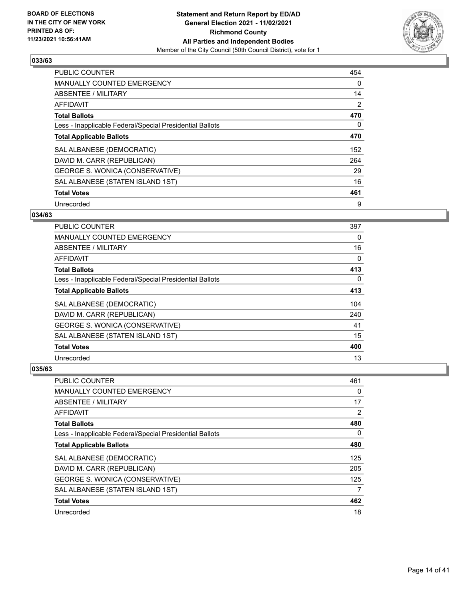

| <b>PUBLIC COUNTER</b>                                    | 454      |
|----------------------------------------------------------|----------|
| MANUALLY COUNTED EMERGENCY                               | $\Omega$ |
| ABSENTEE / MILITARY                                      | 14       |
| <b>AFFIDAVIT</b>                                         | 2        |
| <b>Total Ballots</b>                                     | 470      |
| Less - Inapplicable Federal/Special Presidential Ballots | 0        |
| <b>Total Applicable Ballots</b>                          | 470      |
| SAL ALBANESE (DEMOCRATIC)                                | 152      |
| DAVID M. CARR (REPUBLICAN)                               | 264      |
| GEORGE S. WONICA (CONSERVATIVE)                          | 29       |
| SAL ALBANESE (STATEN ISLAND 1ST)                         | 16       |
| <b>Total Votes</b>                                       | 461      |
| Unrecorded                                               | 9        |

#### **034/63**

| <b>PUBLIC COUNTER</b>                                    | 397      |
|----------------------------------------------------------|----------|
| <b>MANUALLY COUNTED EMERGENCY</b>                        | 0        |
| ABSENTEE / MILITARY                                      | 16       |
| AFFIDAVIT                                                | 0        |
| <b>Total Ballots</b>                                     | 413      |
| Less - Inapplicable Federal/Special Presidential Ballots | $\Omega$ |
| <b>Total Applicable Ballots</b>                          | 413      |
| SAL ALBANESE (DEMOCRATIC)                                | 104      |
| DAVID M. CARR (REPUBLICAN)                               | 240      |
| <b>GEORGE S. WONICA (CONSERVATIVE)</b>                   | 41       |
| SAL ALBANESE (STATEN ISLAND 1ST)                         | 15       |
| <b>Total Votes</b>                                       | 400      |
| Unrecorded                                               | 13       |

| PUBLIC COUNTER                                           | 461 |
|----------------------------------------------------------|-----|
| MANUALLY COUNTED EMERGENCY                               | 0   |
| ABSENTEE / MILITARY                                      | 17  |
| AFFIDAVIT                                                | 2   |
| <b>Total Ballots</b>                                     | 480 |
| Less - Inapplicable Federal/Special Presidential Ballots | 0   |
| <b>Total Applicable Ballots</b>                          | 480 |
| SAL ALBANESE (DEMOCRATIC)                                | 125 |
| DAVID M. CARR (REPUBLICAN)                               | 205 |
| GEORGE S. WONICA (CONSERVATIVE)                          | 125 |
| SAL ALBANESE (STATEN ISLAND 1ST)                         | 7   |
| <b>Total Votes</b>                                       | 462 |
| Unrecorded                                               | 18  |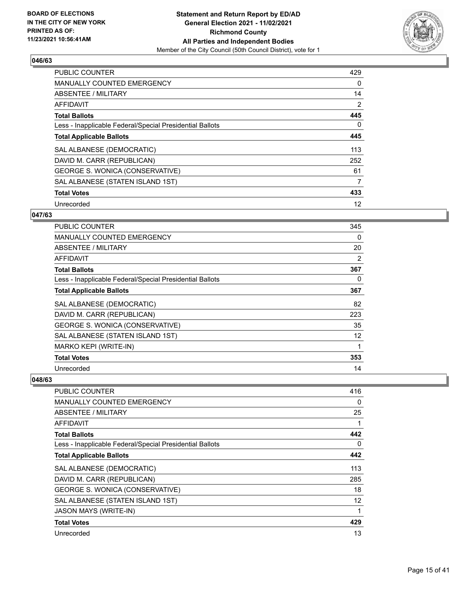

| <b>PUBLIC COUNTER</b>                                    | 429            |
|----------------------------------------------------------|----------------|
| <b>MANUALLY COUNTED EMERGENCY</b>                        | 0              |
| ABSENTEE / MILITARY                                      | 14             |
| <b>AFFIDAVIT</b>                                         | $\overline{2}$ |
| <b>Total Ballots</b>                                     | 445            |
| Less - Inapplicable Federal/Special Presidential Ballots | 0              |
| <b>Total Applicable Ballots</b>                          | 445            |
| SAL ALBANESE (DEMOCRATIC)                                | 113            |
| DAVID M. CARR (REPUBLICAN)                               | 252            |
| GEORGE S. WONICA (CONSERVATIVE)                          | 61             |
| SAL ALBANESE (STATEN ISLAND 1ST)                         | 7              |
| <b>Total Votes</b>                                       | 433            |
| Unrecorded                                               | 12             |

# **047/63**

| PUBLIC COUNTER                                           | 345 |
|----------------------------------------------------------|-----|
| <b>MANUALLY COUNTED EMERGENCY</b>                        | 0   |
| ABSENTEE / MILITARY                                      | 20  |
| <b>AFFIDAVIT</b>                                         | 2   |
| <b>Total Ballots</b>                                     | 367 |
| Less - Inapplicable Federal/Special Presidential Ballots | 0   |
| <b>Total Applicable Ballots</b>                          | 367 |
| SAL ALBANESE (DEMOCRATIC)                                | 82  |
| DAVID M. CARR (REPUBLICAN)                               | 223 |
| GEORGE S. WONICA (CONSERVATIVE)                          | 35  |
| SAL ALBANESE (STATEN ISLAND 1ST)                         | 12  |
| MARKO KEPI (WRITE-IN)                                    | 1   |
| <b>Total Votes</b>                                       | 353 |
| Unrecorded                                               | 14  |

| <b>PUBLIC COUNTER</b>                                    | 416      |
|----------------------------------------------------------|----------|
| MANUALLY COUNTED EMERGENCY                               | 0        |
| ABSENTEE / MILITARY                                      | 25       |
| <b>AFFIDAVIT</b>                                         |          |
| <b>Total Ballots</b>                                     | 442      |
| Less - Inapplicable Federal/Special Presidential Ballots | $\Omega$ |
| <b>Total Applicable Ballots</b>                          | 442      |
| SAL ALBANESE (DEMOCRATIC)                                | 113      |
| DAVID M. CARR (REPUBLICAN)                               | 285      |
| GEORGE S. WONICA (CONSERVATIVE)                          | 18       |
| SAL ALBANESE (STATEN ISLAND 1ST)                         | 12       |
| <b>JASON MAYS (WRITE-IN)</b>                             | 1        |
| <b>Total Votes</b>                                       | 429      |
| Unrecorded                                               | 13       |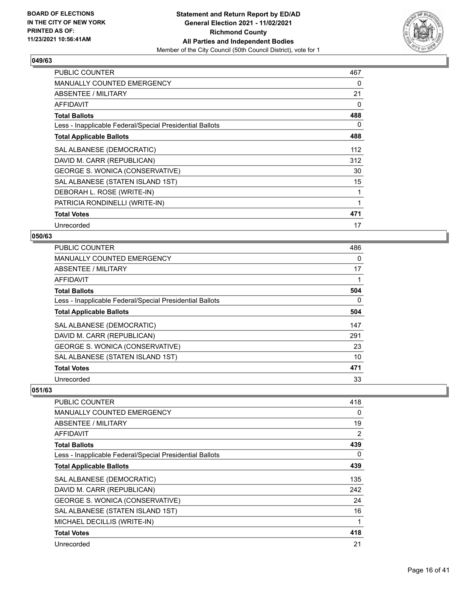

| <b>PUBLIC COUNTER</b>                                    | 467      |
|----------------------------------------------------------|----------|
| <b>MANUALLY COUNTED EMERGENCY</b>                        | 0        |
| ABSENTEE / MILITARY                                      | 21       |
| AFFIDAVIT                                                | $\Omega$ |
| <b>Total Ballots</b>                                     | 488      |
| Less - Inapplicable Federal/Special Presidential Ballots | 0        |
| <b>Total Applicable Ballots</b>                          | 488      |
| SAL ALBANESE (DEMOCRATIC)                                | 112      |
| DAVID M. CARR (REPUBLICAN)                               | 312      |
| GEORGE S. WONICA (CONSERVATIVE)                          | 30       |
| SAL ALBANESE (STATEN ISLAND 1ST)                         | 15       |
| DEBORAH L. ROSE (WRITE-IN)                               | 1        |
| PATRICIA RONDINELLI (WRITE-IN)                           |          |
| <b>Total Votes</b>                                       | 471      |
| Unrecorded                                               | 17       |

# **050/63**

| <b>PUBLIC COUNTER</b>                                    | 486 |
|----------------------------------------------------------|-----|
| MANUALLY COUNTED EMERGENCY                               | 0   |
| ABSENTEE / MILITARY                                      | 17  |
| AFFIDAVIT                                                | 1   |
| <b>Total Ballots</b>                                     | 504 |
| Less - Inapplicable Federal/Special Presidential Ballots | 0   |
| <b>Total Applicable Ballots</b>                          | 504 |
| SAL ALBANESE (DEMOCRATIC)                                | 147 |
| DAVID M. CARR (REPUBLICAN)                               | 291 |
| GEORGE S. WONICA (CONSERVATIVE)                          | 23  |
| SAL ALBANESE (STATEN ISLAND 1ST)                         | 10  |
| <b>Total Votes</b>                                       | 471 |
| Unrecorded                                               | 33  |

| <b>PUBLIC COUNTER</b>                                    | 418            |
|----------------------------------------------------------|----------------|
| <b>MANUALLY COUNTED EMERGENCY</b>                        | 0              |
| ABSENTEE / MILITARY                                      | 19             |
| AFFIDAVIT                                                | $\overline{2}$ |
| <b>Total Ballots</b>                                     | 439            |
| Less - Inapplicable Federal/Special Presidential Ballots | 0              |
| <b>Total Applicable Ballots</b>                          | 439            |
| SAL ALBANESE (DEMOCRATIC)                                | 135            |
| DAVID M. CARR (REPUBLICAN)                               | 242            |
| GEORGE S. WONICA (CONSERVATIVE)                          | 24             |
| SAL ALBANESE (STATEN ISLAND 1ST)                         | 16             |
| MICHAEL DECILLIS (WRITE-IN)                              |                |
| <b>Total Votes</b>                                       | 418            |
| Unrecorded                                               | 21             |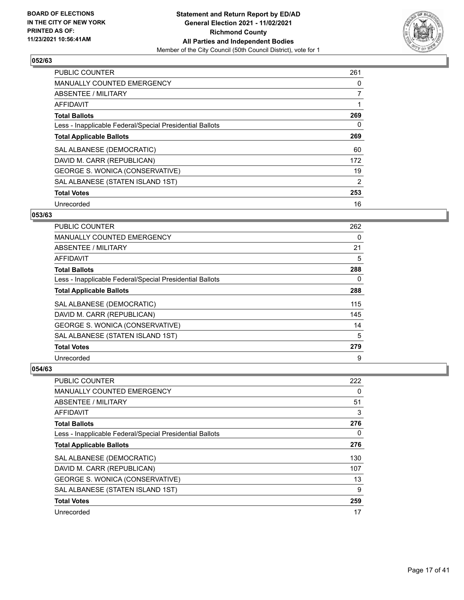

| <b>PUBLIC COUNTER</b>                                    | 261 |
|----------------------------------------------------------|-----|
| <b>MANUALLY COUNTED EMERGENCY</b>                        | 0   |
| ABSENTEE / MILITARY                                      | 7   |
| <b>AFFIDAVIT</b>                                         |     |
| <b>Total Ballots</b>                                     | 269 |
| Less - Inapplicable Federal/Special Presidential Ballots | 0   |
| <b>Total Applicable Ballots</b>                          | 269 |
| SAL ALBANESE (DEMOCRATIC)                                | 60  |
| DAVID M. CARR (REPUBLICAN)                               | 172 |
| GEORGE S. WONICA (CONSERVATIVE)                          | 19  |
| SAL ALBANESE (STATEN ISLAND 1ST)                         | 2   |
| <b>Total Votes</b>                                       | 253 |
| Unrecorded                                               | 16  |

# **053/63**

| PUBLIC COUNTER                                           | 262 |
|----------------------------------------------------------|-----|
| <b>MANUALLY COUNTED EMERGENCY</b>                        | 0   |
| ABSENTEE / MILITARY                                      | 21  |
| <b>AFFIDAVIT</b>                                         | 5   |
| <b>Total Ballots</b>                                     | 288 |
| Less - Inapplicable Federal/Special Presidential Ballots | 0   |
| <b>Total Applicable Ballots</b>                          | 288 |
| SAL ALBANESE (DEMOCRATIC)                                | 115 |
| DAVID M. CARR (REPUBLICAN)                               | 145 |
| <b>GEORGE S. WONICA (CONSERVATIVE)</b>                   | 14  |
| SAL ALBANESE (STATEN ISLAND 1ST)                         | 5   |
| <b>Total Votes</b>                                       | 279 |
| Unrecorded                                               | 9   |

| <b>PUBLIC COUNTER</b>                                    | 222 |
|----------------------------------------------------------|-----|
| MANUALLY COUNTED EMERGENCY                               | 0   |
| ABSENTEE / MILITARY                                      | 51  |
| AFFIDAVIT                                                | 3   |
| <b>Total Ballots</b>                                     | 276 |
| Less - Inapplicable Federal/Special Presidential Ballots | 0   |
| <b>Total Applicable Ballots</b>                          | 276 |
| SAL ALBANESE (DEMOCRATIC)                                | 130 |
| DAVID M. CARR (REPUBLICAN)                               | 107 |
| GEORGE S. WONICA (CONSERVATIVE)                          | 13  |
| SAL ALBANESE (STATEN ISLAND 1ST)                         | 9   |
| <b>Total Votes</b>                                       | 259 |
| Unrecorded                                               | 17  |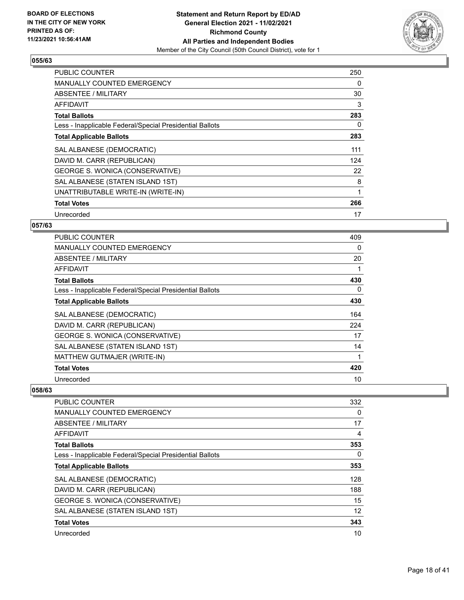

| <b>PUBLIC COUNTER</b>                                    | 250 |
|----------------------------------------------------------|-----|
| <b>MANUALLY COUNTED EMERGENCY</b>                        | 0   |
| <b>ABSENTEE / MILITARY</b>                               | 30  |
| AFFIDAVIT                                                | 3   |
| <b>Total Ballots</b>                                     | 283 |
| Less - Inapplicable Federal/Special Presidential Ballots | 0   |
| <b>Total Applicable Ballots</b>                          | 283 |
| SAL ALBANESE (DEMOCRATIC)                                | 111 |
| DAVID M. CARR (REPUBLICAN)                               | 124 |
| GEORGE S. WONICA (CONSERVATIVE)                          | 22  |
| SAL ALBANESE (STATEN ISLAND 1ST)                         | 8   |
| UNATTRIBUTABLE WRITE-IN (WRITE-IN)                       | 1   |
| <b>Total Votes</b>                                       | 266 |
| Unrecorded                                               | 17  |

# **057/63**

| <b>PUBLIC COUNTER</b>                                    | 409 |
|----------------------------------------------------------|-----|
| <b>MANUALLY COUNTED EMERGENCY</b>                        | 0   |
| ABSENTEE / MILITARY                                      | 20  |
| AFFIDAVIT                                                |     |
| <b>Total Ballots</b>                                     | 430 |
| Less - Inapplicable Federal/Special Presidential Ballots | 0   |
| <b>Total Applicable Ballots</b>                          | 430 |
| SAL ALBANESE (DEMOCRATIC)                                | 164 |
| DAVID M. CARR (REPUBLICAN)                               | 224 |
| GEORGE S. WONICA (CONSERVATIVE)                          | 17  |
| SAL ALBANESE (STATEN ISLAND 1ST)                         | 14  |
| MATTHEW GUTMAJER (WRITE-IN)                              |     |
| <b>Total Votes</b>                                       | 420 |
| Unrecorded                                               | 10  |

| <b>PUBLIC COUNTER</b>                                    | 332 |
|----------------------------------------------------------|-----|
| <b>MANUALLY COUNTED EMERGENCY</b>                        | 0   |
| ABSENTEE / MILITARY                                      | 17  |
| AFFIDAVIT                                                | 4   |
| <b>Total Ballots</b>                                     | 353 |
| Less - Inapplicable Federal/Special Presidential Ballots | 0   |
| <b>Total Applicable Ballots</b>                          | 353 |
| SAL ALBANESE (DEMOCRATIC)                                | 128 |
| DAVID M. CARR (REPUBLICAN)                               | 188 |
| GEORGE S. WONICA (CONSERVATIVE)                          | 15  |
| SAL ALBANESE (STATEN ISLAND 1ST)                         | 12  |
| <b>Total Votes</b>                                       | 343 |
| Unrecorded                                               | 10  |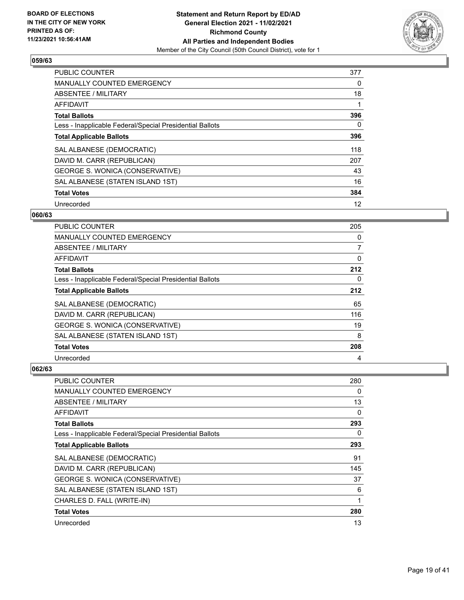

| <b>PUBLIC COUNTER</b>                                    | 377 |
|----------------------------------------------------------|-----|
| MANUALLY COUNTED EMERGENCY                               | 0   |
| ABSENTEE / MILITARY                                      | 18  |
| AFFIDAVIT                                                |     |
| <b>Total Ballots</b>                                     | 396 |
| Less - Inapplicable Federal/Special Presidential Ballots | 0   |
| <b>Total Applicable Ballots</b>                          | 396 |
| SAL ALBANESE (DEMOCRATIC)                                | 118 |
| DAVID M. CARR (REPUBLICAN)                               | 207 |
| <b>GEORGE S. WONICA (CONSERVATIVE)</b>                   | 43  |
| SAL ALBANESE (STATEN ISLAND 1ST)                         | 16  |
| <b>Total Votes</b>                                       | 384 |
| Unrecorded                                               | 12  |

#### **060/63**

| PUBLIC COUNTER                                           | 205            |
|----------------------------------------------------------|----------------|
| <b>MANUALLY COUNTED EMERGENCY</b>                        | 0              |
| ABSENTEE / MILITARY                                      | $\overline{7}$ |
| AFFIDAVIT                                                | 0              |
| <b>Total Ballots</b>                                     | 212            |
| Less - Inapplicable Federal/Special Presidential Ballots | 0              |
| <b>Total Applicable Ballots</b>                          | 212            |
| SAL ALBANESE (DEMOCRATIC)                                | 65             |
| DAVID M. CARR (REPUBLICAN)                               | 116            |
| GEORGE S. WONICA (CONSERVATIVE)                          | 19             |
| SAL ALBANESE (STATEN ISLAND 1ST)                         | 8              |
| <b>Total Votes</b>                                       | 208            |
| Unrecorded                                               | 4              |

| PUBLIC COUNTER                                           | 280      |
|----------------------------------------------------------|----------|
| MANUALLY COUNTED EMERGENCY                               | 0        |
| ABSENTEE / MILITARY                                      | 13       |
| AFFIDAVIT                                                | $\Omega$ |
| <b>Total Ballots</b>                                     | 293      |
| Less - Inapplicable Federal/Special Presidential Ballots | $\Omega$ |
| <b>Total Applicable Ballots</b>                          | 293      |
| SAL ALBANESE (DEMOCRATIC)                                | 91       |
| DAVID M. CARR (REPUBLICAN)                               | 145      |
| GEORGE S. WONICA (CONSERVATIVE)                          | 37       |
| SAL ALBANESE (STATEN ISLAND 1ST)                         | 6        |
| CHARLES D. FALL (WRITE-IN)                               | 1        |
| <b>Total Votes</b>                                       | 280      |
| Unrecorded                                               | 13       |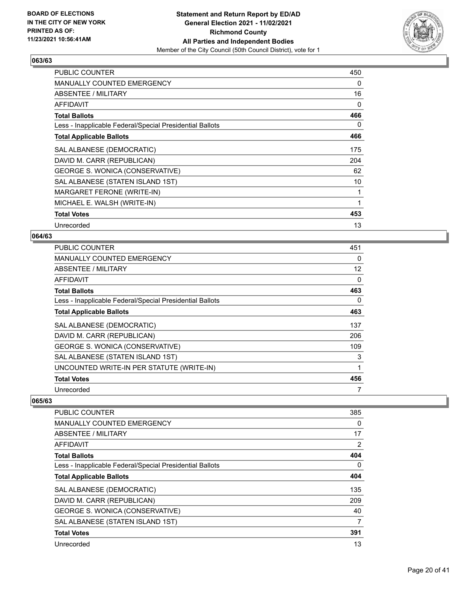

| <b>PUBLIC COUNTER</b>                                    | 450      |
|----------------------------------------------------------|----------|
| <b>MANUALLY COUNTED EMERGENCY</b>                        | 0        |
| ABSENTEE / MILITARY                                      | 16       |
| AFFIDAVIT                                                | $\Omega$ |
| <b>Total Ballots</b>                                     | 466      |
| Less - Inapplicable Federal/Special Presidential Ballots | 0        |
| <b>Total Applicable Ballots</b>                          | 466      |
| SAL ALBANESE (DEMOCRATIC)                                | 175      |
| DAVID M. CARR (REPUBLICAN)                               | 204      |
| GEORGE S. WONICA (CONSERVATIVE)                          | 62       |
| SAL ALBANESE (STATEN ISLAND 1ST)                         | 10       |
| MARGARET FERONE (WRITE-IN)                               | 1        |
| MICHAEL E. WALSH (WRITE-IN)                              |          |
| <b>Total Votes</b>                                       | 453      |
| Unrecorded                                               | 13       |

# **064/63**

| <b>PUBLIC COUNTER</b>                                    | 451               |
|----------------------------------------------------------|-------------------|
| <b>MANUALLY COUNTED EMERGENCY</b>                        | 0                 |
| ABSENTEE / MILITARY                                      | $12 \overline{ }$ |
| AFFIDAVIT                                                | 0                 |
| <b>Total Ballots</b>                                     | 463               |
| Less - Inapplicable Federal/Special Presidential Ballots | 0                 |
| <b>Total Applicable Ballots</b>                          | 463               |
| SAL ALBANESE (DEMOCRATIC)                                | 137               |
| DAVID M. CARR (REPUBLICAN)                               | 206               |
| GEORGE S. WONICA (CONSERVATIVE)                          | 109               |
| SAL ALBANESE (STATEN ISLAND 1ST)                         | 3                 |
| UNCOUNTED WRITE-IN PER STATUTE (WRITE-IN)                | 1                 |
| <b>Total Votes</b>                                       | 456               |
| Unrecorded                                               |                   |

| PUBLIC COUNTER                                           | 385      |
|----------------------------------------------------------|----------|
| <b>MANUALLY COUNTED EMERGENCY</b>                        | 0        |
| ABSENTEE / MILITARY                                      | 17       |
| AFFIDAVIT                                                | 2        |
| <b>Total Ballots</b>                                     | 404      |
| Less - Inapplicable Federal/Special Presidential Ballots | $\Omega$ |
| <b>Total Applicable Ballots</b>                          | 404      |
| SAL ALBANESE (DEMOCRATIC)                                | 135      |
| DAVID M. CARR (REPUBLICAN)                               | 209      |
| GEORGE S. WONICA (CONSERVATIVE)                          | 40       |
| SAL ALBANESE (STATEN ISLAND 1ST)                         | 7        |
| <b>Total Votes</b>                                       | 391      |
| Unrecorded                                               | 13       |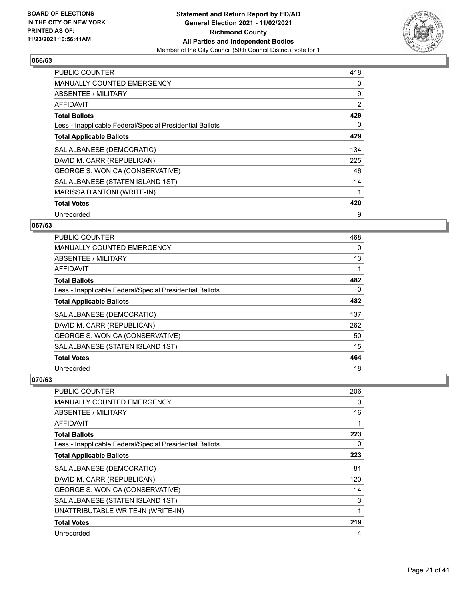

| <b>PUBLIC COUNTER</b>                                    | 418            |
|----------------------------------------------------------|----------------|
| <b>MANUALLY COUNTED EMERGENCY</b>                        | 0              |
| <b>ABSENTEE / MILITARY</b>                               | 9              |
| AFFIDAVIT                                                | $\overline{2}$ |
| <b>Total Ballots</b>                                     | 429            |
| Less - Inapplicable Federal/Special Presidential Ballots | 0              |
| <b>Total Applicable Ballots</b>                          | 429            |
| SAL ALBANESE (DEMOCRATIC)                                | 134            |
| DAVID M. CARR (REPUBLICAN)                               | 225            |
| GEORGE S. WONICA (CONSERVATIVE)                          | 46             |
| SAL ALBANESE (STATEN ISLAND 1ST)                         | 14             |
| MARISSA D'ANTONI (WRITE-IN)                              | 1              |
| <b>Total Votes</b>                                       | 420            |
| Unrecorded                                               | 9              |

# **067/63**

| PUBLIC COUNTER                                           | 468      |
|----------------------------------------------------------|----------|
| <b>MANUALLY COUNTED EMERGENCY</b>                        | $\Omega$ |
| ABSENTEE / MILITARY                                      | 13       |
| AFFIDAVIT                                                |          |
| <b>Total Ballots</b>                                     | 482      |
| Less - Inapplicable Federal/Special Presidential Ballots | $\Omega$ |
| <b>Total Applicable Ballots</b>                          | 482      |
| SAL ALBANESE (DEMOCRATIC)                                | 137      |
| DAVID M. CARR (REPUBLICAN)                               | 262      |
| GEORGE S. WONICA (CONSERVATIVE)                          | 50       |
| SAL ALBANESE (STATEN ISLAND 1ST)                         | 15       |
| <b>Total Votes</b>                                       | 464      |
| Unrecorded                                               | 18       |

| <b>PUBLIC COUNTER</b>                                    | 206 |
|----------------------------------------------------------|-----|
| MANUALLY COUNTED EMERGENCY                               | 0   |
| ABSENTEE / MILITARY                                      | 16  |
| <b>AFFIDAVIT</b>                                         |     |
| <b>Total Ballots</b>                                     | 223 |
| Less - Inapplicable Federal/Special Presidential Ballots | 0   |
| <b>Total Applicable Ballots</b>                          | 223 |
| SAL ALBANESE (DEMOCRATIC)                                | 81  |
| DAVID M. CARR (REPUBLICAN)                               | 120 |
| GEORGE S. WONICA (CONSERVATIVE)                          | 14  |
| SAL ALBANESE (STATEN ISLAND 1ST)                         | 3   |
| UNATTRIBUTABLE WRITE-IN (WRITE-IN)                       | 1   |
| <b>Total Votes</b>                                       | 219 |
| Unrecorded                                               | 4   |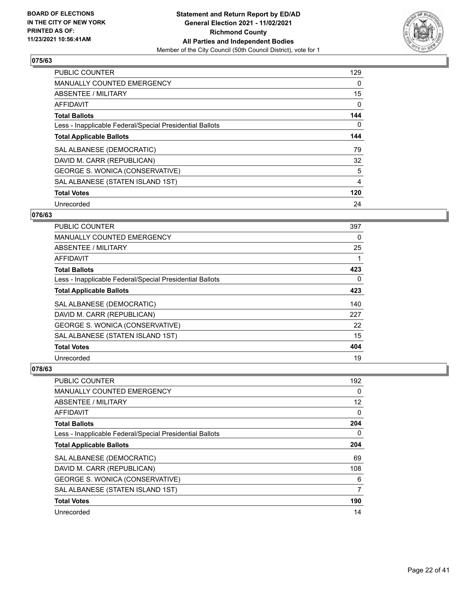

| <b>PUBLIC COUNTER</b>                                    | 129      |
|----------------------------------------------------------|----------|
| <b>MANUALLY COUNTED EMERGENCY</b>                        | 0        |
| <b>ABSENTEE / MILITARY</b>                               | 15       |
| <b>AFFIDAVIT</b>                                         | 0        |
| <b>Total Ballots</b>                                     | 144      |
| Less - Inapplicable Federal/Special Presidential Ballots | $\Omega$ |
| <b>Total Applicable Ballots</b>                          | 144      |
| SAL ALBANESE (DEMOCRATIC)                                | 79       |
| DAVID M. CARR (REPUBLICAN)                               | 32       |
| GEORGE S. WONICA (CONSERVATIVE)                          | 5        |
| SAL ALBANESE (STATEN ISLAND 1ST)                         | 4        |
| <b>Total Votes</b>                                       | 120      |
| Unrecorded                                               | 24       |

# **076/63**

| <b>PUBLIC COUNTER</b>                                    | 397      |
|----------------------------------------------------------|----------|
| MANUALLY COUNTED EMERGENCY                               | 0        |
| ABSENTEE / MILITARY                                      | 25       |
| AFFIDAVIT                                                |          |
| <b>Total Ballots</b>                                     | 423      |
| Less - Inapplicable Federal/Special Presidential Ballots | $\Omega$ |
| <b>Total Applicable Ballots</b>                          | 423      |
| SAL ALBANESE (DEMOCRATIC)                                | 140      |
| DAVID M. CARR (REPUBLICAN)                               | 227      |
| GEORGE S. WONICA (CONSERVATIVE)                          | 22       |
| SAL ALBANESE (STATEN ISLAND 1ST)                         | 15       |
| <b>Total Votes</b>                                       | 404      |
| Unrecorded                                               | 19       |

| PUBLIC COUNTER                                           | 192 |
|----------------------------------------------------------|-----|
| MANUALLY COUNTED EMERGENCY                               | 0   |
| ABSENTEE / MILITARY                                      | 12  |
| AFFIDAVIT                                                | 0   |
| <b>Total Ballots</b>                                     | 204 |
| Less - Inapplicable Federal/Special Presidential Ballots | 0   |
| <b>Total Applicable Ballots</b>                          | 204 |
| SAL ALBANESE (DEMOCRATIC)                                | 69  |
| DAVID M. CARR (REPUBLICAN)                               | 108 |
| GEORGE S. WONICA (CONSERVATIVE)                          | 6   |
| SAL ALBANESE (STATEN ISLAND 1ST)                         | 7   |
| <b>Total Votes</b>                                       | 190 |
| Unrecorded                                               | 14  |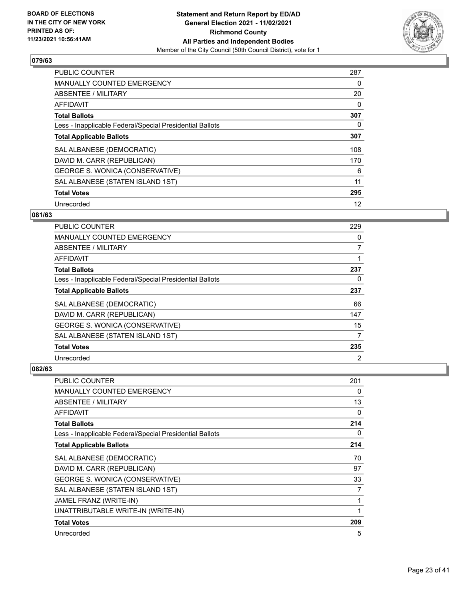

| <b>PUBLIC COUNTER</b>                                    | 287 |
|----------------------------------------------------------|-----|
| <b>MANUALLY COUNTED EMERGENCY</b>                        | 0   |
| ABSENTEE / MILITARY                                      | 20  |
| <b>AFFIDAVIT</b>                                         | 0   |
| <b>Total Ballots</b>                                     | 307 |
| Less - Inapplicable Federal/Special Presidential Ballots | 0   |
| <b>Total Applicable Ballots</b>                          | 307 |
| SAL ALBANESE (DEMOCRATIC)                                | 108 |
| DAVID M. CARR (REPUBLICAN)                               | 170 |
| GEORGE S. WONICA (CONSERVATIVE)                          | 6   |
| SAL ALBANESE (STATEN ISLAND 1ST)                         | 11  |
| <b>Total Votes</b>                                       | 295 |
| Unrecorded                                               | 12  |

# **081/63**

| PUBLIC COUNTER                                           | 229            |
|----------------------------------------------------------|----------------|
| <b>MANUALLY COUNTED EMERGENCY</b>                        | 0              |
| ABSENTEE / MILITARY                                      | 7              |
| AFFIDAVIT                                                |                |
| <b>Total Ballots</b>                                     | 237            |
| Less - Inapplicable Federal/Special Presidential Ballots | 0              |
| <b>Total Applicable Ballots</b>                          | 237            |
| SAL ALBANESE (DEMOCRATIC)                                | 66             |
| DAVID M. CARR (REPUBLICAN)                               | 147            |
| GEORGE S. WONICA (CONSERVATIVE)                          | 15             |
| SAL ALBANESE (STATEN ISLAND 1ST)                         | 7              |
| <b>Total Votes</b>                                       | 235            |
| Unrecorded                                               | $\overline{2}$ |

| PUBLIC COUNTER                                           | 201 |
|----------------------------------------------------------|-----|
| MANUALLY COUNTED EMERGENCY                               | 0   |
| <b>ABSENTEE / MILITARY</b>                               | 13  |
| AFFIDAVIT                                                | 0   |
| <b>Total Ballots</b>                                     | 214 |
| Less - Inapplicable Federal/Special Presidential Ballots | 0   |
| <b>Total Applicable Ballots</b>                          | 214 |
| SAL ALBANESE (DEMOCRATIC)                                | 70  |
| DAVID M. CARR (REPUBLICAN)                               | 97  |
| GEORGE S. WONICA (CONSERVATIVE)                          | 33  |
| SAL ALBANESE (STATEN ISLAND 1ST)                         | 7   |
| JAMEL FRANZ (WRITE-IN)                                   | 1   |
| UNATTRIBUTABLE WRITE-IN (WRITE-IN)                       | 1   |
| <b>Total Votes</b>                                       | 209 |
| Unrecorded                                               | 5   |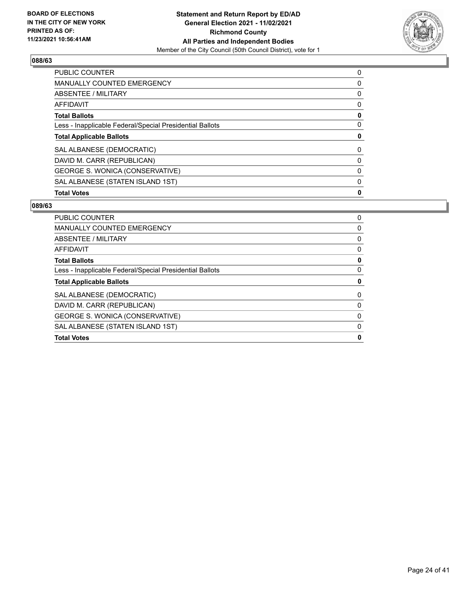

| <b>PUBLIC COUNTER</b>                                    | 0 |
|----------------------------------------------------------|---|
| <b>MANUALLY COUNTED EMERGENCY</b>                        | 0 |
| ABSENTEE / MILITARY                                      | 0 |
| AFFIDAVIT                                                | 0 |
| <b>Total Ballots</b>                                     | 0 |
| Less - Inapplicable Federal/Special Presidential Ballots | 0 |
| <b>Total Applicable Ballots</b>                          | 0 |
| SAL ALBANESE (DEMOCRATIC)                                | 0 |
| DAVID M. CARR (REPUBLICAN)                               | 0 |
| GEORGE S. WONICA (CONSERVATIVE)                          | 0 |
| SAL ALBANESE (STATEN ISLAND 1ST)                         | 0 |
| <b>Total Votes</b>                                       | 0 |

| PUBLIC COUNTER                                           | $\Omega$ |
|----------------------------------------------------------|----------|
| <b>MANUALLY COUNTED EMERGENCY</b>                        | 0        |
| ABSENTEE / MILITARY                                      | 0        |
| AFFIDAVIT                                                | 0        |
| <b>Total Ballots</b>                                     | 0        |
| Less - Inapplicable Federal/Special Presidential Ballots | 0        |
| <b>Total Applicable Ballots</b>                          |          |
| SAL ALBANESE (DEMOCRATIC)                                | 0        |
| DAVID M. CARR (REPUBLICAN)                               | 0        |
| GEORGE S. WONICA (CONSERVATIVE)                          | 0        |
| SAL ALBANESE (STATEN ISLAND 1ST)                         | 0        |
| <b>Total Votes</b>                                       | Ω        |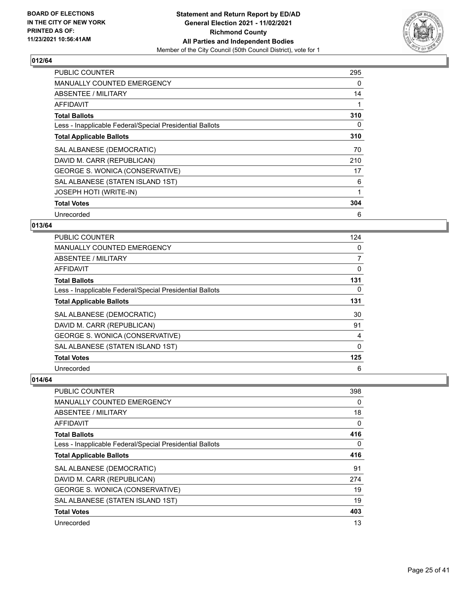

| <b>PUBLIC COUNTER</b>                                    | 295 |
|----------------------------------------------------------|-----|
| <b>MANUALLY COUNTED EMERGENCY</b>                        | 0   |
| ABSENTEE / MILITARY                                      | 14  |
| AFFIDAVIT                                                |     |
| <b>Total Ballots</b>                                     | 310 |
| Less - Inapplicable Federal/Special Presidential Ballots | 0   |
| <b>Total Applicable Ballots</b>                          | 310 |
| SAL ALBANESE (DEMOCRATIC)                                | 70  |
| DAVID M. CARR (REPUBLICAN)                               | 210 |
| GEORGE S. WONICA (CONSERVATIVE)                          | 17  |
| SAL ALBANESE (STATEN ISLAND 1ST)                         | 6   |
| <b>JOSEPH HOTI (WRITE-IN)</b>                            | 1   |
| <b>Total Votes</b>                                       | 304 |
| Unrecorded                                               | 6   |

#### **013/64**

| PUBLIC COUNTER                                           | 124      |
|----------------------------------------------------------|----------|
| <b>MANUALLY COUNTED EMERGENCY</b>                        | 0        |
| ABSENTEE / MILITARY                                      | 7        |
| AFFIDAVIT                                                | 0        |
| <b>Total Ballots</b>                                     | 131      |
| Less - Inapplicable Federal/Special Presidential Ballots | $\Omega$ |
| <b>Total Applicable Ballots</b>                          | 131      |
| SAL ALBANESE (DEMOCRATIC)                                | 30       |
| DAVID M. CARR (REPUBLICAN)                               | 91       |
| GEORGE S. WONICA (CONSERVATIVE)                          | 4        |
| SAL ALBANESE (STATEN ISLAND 1ST)                         | 0        |
| <b>Total Votes</b>                                       | 125      |
| Unrecorded                                               | 6        |

| PUBLIC COUNTER                                           | 398      |
|----------------------------------------------------------|----------|
| MANUALLY COUNTED EMERGENCY                               | 0        |
| ABSENTEE / MILITARY                                      | 18       |
| AFFIDAVIT                                                | $\Omega$ |
| <b>Total Ballots</b>                                     | 416      |
| Less - Inapplicable Federal/Special Presidential Ballots | 0        |
| <b>Total Applicable Ballots</b>                          | 416      |
| SAL ALBANESE (DEMOCRATIC)                                | 91       |
| DAVID M. CARR (REPUBLICAN)                               | 274      |
| GEORGE S. WONICA (CONSERVATIVE)                          | 19       |
| SAL ALBANESE (STATEN ISLAND 1ST)                         | 19       |
| <b>Total Votes</b>                                       | 403      |
| Unrecorded                                               | 13       |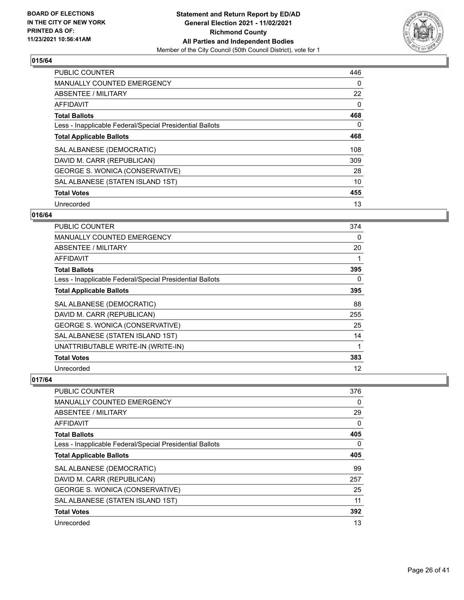

| <b>PUBLIC COUNTER</b>                                    | 446      |
|----------------------------------------------------------|----------|
| <b>MANUALLY COUNTED EMERGENCY</b>                        | $\Omega$ |
| ABSENTEE / MILITARY                                      | 22       |
| <b>AFFIDAVIT</b>                                         | 0        |
| <b>Total Ballots</b>                                     | 468      |
| Less - Inapplicable Federal/Special Presidential Ballots | 0        |
| <b>Total Applicable Ballots</b>                          | 468      |
| SAL ALBANESE (DEMOCRATIC)                                | 108      |
| DAVID M. CARR (REPUBLICAN)                               | 309      |
| GEORGE S. WONICA (CONSERVATIVE)                          | 28       |
| SAL ALBANESE (STATEN ISLAND 1ST)                         | 10       |
| <b>Total Votes</b>                                       | 455      |
| Unrecorded                                               | 13       |

# **016/64**

| <b>PUBLIC COUNTER</b>                                    | 374 |
|----------------------------------------------------------|-----|
| <b>MANUALLY COUNTED EMERGENCY</b>                        | 0   |
| ABSENTEE / MILITARY                                      | 20  |
| AFFIDAVIT                                                | 1   |
| <b>Total Ballots</b>                                     | 395 |
| Less - Inapplicable Federal/Special Presidential Ballots | 0   |
| <b>Total Applicable Ballots</b>                          | 395 |
| SAL ALBANESE (DEMOCRATIC)                                | 88  |
| DAVID M. CARR (REPUBLICAN)                               | 255 |
| GEORGE S. WONICA (CONSERVATIVE)                          | 25  |
| SAL ALBANESE (STATEN ISLAND 1ST)                         | 14  |
| UNATTRIBUTABLE WRITE-IN (WRITE-IN)                       | 1   |
| <b>Total Votes</b>                                       | 383 |
| Unrecorded                                               | 12  |

| PUBLIC COUNTER                                           | 376      |
|----------------------------------------------------------|----------|
| <b>MANUALLY COUNTED EMERGENCY</b>                        | $\Omega$ |
| ABSENTEE / MILITARY                                      | 29       |
| AFFIDAVIT                                                | $\Omega$ |
| <b>Total Ballots</b>                                     | 405      |
| Less - Inapplicable Federal/Special Presidential Ballots | 0        |
| <b>Total Applicable Ballots</b>                          | 405      |
| SAL ALBANESE (DEMOCRATIC)                                | 99       |
| DAVID M. CARR (REPUBLICAN)                               | 257      |
| GEORGE S. WONICA (CONSERVATIVE)                          | 25       |
| SAL ALBANESE (STATEN ISLAND 1ST)                         | 11       |
| <b>Total Votes</b>                                       | 392      |
| Unrecorded                                               | 13       |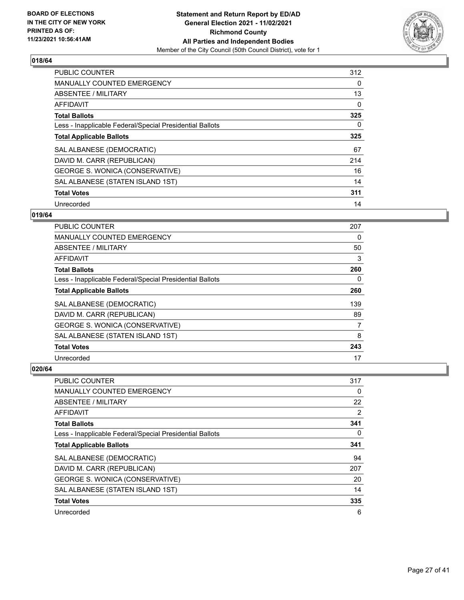

| <b>PUBLIC COUNTER</b>                                    | 312 |
|----------------------------------------------------------|-----|
| <b>MANUALLY COUNTED EMERGENCY</b>                        | 0   |
| ABSENTEE / MILITARY                                      | 13  |
| AFFIDAVIT                                                | 0   |
| <b>Total Ballots</b>                                     | 325 |
| Less - Inapplicable Federal/Special Presidential Ballots | 0   |
| <b>Total Applicable Ballots</b>                          | 325 |
| SAL ALBANESE (DEMOCRATIC)                                | 67  |
| DAVID M. CARR (REPUBLICAN)                               | 214 |
| GEORGE S. WONICA (CONSERVATIVE)                          | 16  |
| SAL ALBANESE (STATEN ISLAND 1ST)                         | 14  |
| <b>Total Votes</b>                                       | 311 |
| Unrecorded                                               | 14  |

#### **019/64**

| <b>PUBLIC COUNTER</b>                                    | 207 |
|----------------------------------------------------------|-----|
| <b>MANUALLY COUNTED EMERGENCY</b>                        | 0   |
| ABSENTEE / MILITARY                                      | 50  |
| <b>AFFIDAVIT</b>                                         | 3   |
| <b>Total Ballots</b>                                     | 260 |
| Less - Inapplicable Federal/Special Presidential Ballots | 0   |
| <b>Total Applicable Ballots</b>                          | 260 |
| SAL ALBANESE (DEMOCRATIC)                                | 139 |
| DAVID M. CARR (REPUBLICAN)                               | 89  |
| GEORGE S. WONICA (CONSERVATIVE)                          | 7   |
| SAL ALBANESE (STATEN ISLAND 1ST)                         | 8   |
| <b>Total Votes</b>                                       | 243 |
| Unrecorded                                               | 17  |

| PUBLIC COUNTER                                           | 317 |
|----------------------------------------------------------|-----|
| <b>MANUALLY COUNTED EMERGENCY</b>                        | 0   |
| ABSENTEE / MILITARY                                      | 22  |
| AFFIDAVIT                                                | 2   |
| <b>Total Ballots</b>                                     | 341 |
| Less - Inapplicable Federal/Special Presidential Ballots | 0   |
| <b>Total Applicable Ballots</b>                          | 341 |
| SAL ALBANESE (DEMOCRATIC)                                | 94  |
| DAVID M. CARR (REPUBLICAN)                               | 207 |
| GEORGE S. WONICA (CONSERVATIVE)                          | 20  |
| SAL ALBANESE (STATEN ISLAND 1ST)                         | 14  |
| <b>Total Votes</b>                                       | 335 |
| Unrecorded                                               | 6   |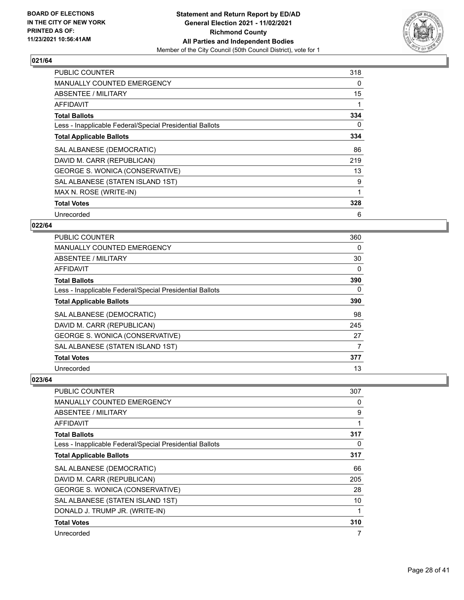

| <b>PUBLIC COUNTER</b>                                    | 318 |
|----------------------------------------------------------|-----|
| <b>MANUALLY COUNTED EMERGENCY</b>                        | 0   |
| <b>ABSENTEE / MILITARY</b>                               | 15  |
| <b>AFFIDAVIT</b>                                         |     |
| <b>Total Ballots</b>                                     | 334 |
| Less - Inapplicable Federal/Special Presidential Ballots | 0   |
| <b>Total Applicable Ballots</b>                          | 334 |
| SAL ALBANESE (DEMOCRATIC)                                | 86  |
| DAVID M. CARR (REPUBLICAN)                               | 219 |
| GEORGE S. WONICA (CONSERVATIVE)                          | 13  |
| SAL ALBANESE (STATEN ISLAND 1ST)                         | 9   |
| MAX N. ROSE (WRITE-IN)                                   |     |
| <b>Total Votes</b>                                       | 328 |
| Unrecorded                                               | 6   |

# **022/64**

| <b>PUBLIC COUNTER</b>                                    | 360      |
|----------------------------------------------------------|----------|
| MANUALLY COUNTED EMERGENCY                               | $\Omega$ |
| ABSENTEE / MILITARY                                      | 30       |
| AFFIDAVIT                                                | 0        |
| <b>Total Ballots</b>                                     | 390      |
| Less - Inapplicable Federal/Special Presidential Ballots | 0        |
| <b>Total Applicable Ballots</b>                          | 390      |
| SAL ALBANESE (DEMOCRATIC)                                | 98       |
| DAVID M. CARR (REPUBLICAN)                               | 245      |
| GEORGE S. WONICA (CONSERVATIVE)                          | 27       |
| SAL ALBANESE (STATEN ISLAND 1ST)                         | 7        |
| <b>Total Votes</b>                                       | 377      |
| Unrecorded                                               | 13       |

| PUBLIC COUNTER                                           | 307 |
|----------------------------------------------------------|-----|
| <b>MANUALLY COUNTED EMERGENCY</b>                        | 0   |
| ABSENTEE / MILITARY                                      | 9   |
| AFFIDAVIT                                                | 1   |
| <b>Total Ballots</b>                                     | 317 |
| Less - Inapplicable Federal/Special Presidential Ballots | 0   |
| <b>Total Applicable Ballots</b>                          | 317 |
| SAL ALBANESE (DEMOCRATIC)                                | 66  |
| DAVID M. CARR (REPUBLICAN)                               | 205 |
| GEORGE S. WONICA (CONSERVATIVE)                          | 28  |
| SAL ALBANESE (STATEN ISLAND 1ST)                         | 10  |
| DONALD J. TRUMP JR. (WRITE-IN)                           |     |
| <b>Total Votes</b>                                       | 310 |
| Unrecorded                                               | 7   |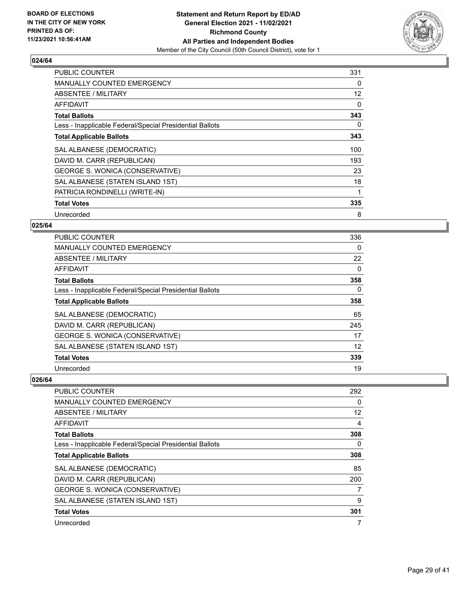

| <b>PUBLIC COUNTER</b>                                    | 331 |
|----------------------------------------------------------|-----|
| <b>MANUALLY COUNTED EMERGENCY</b>                        | 0   |
| <b>ABSENTEE / MILITARY</b>                               | 12  |
| <b>AFFIDAVIT</b>                                         | 0   |
| <b>Total Ballots</b>                                     | 343 |
| Less - Inapplicable Federal/Special Presidential Ballots | 0   |
| <b>Total Applicable Ballots</b>                          | 343 |
| SAL ALBANESE (DEMOCRATIC)                                | 100 |
| DAVID M. CARR (REPUBLICAN)                               | 193 |
| GEORGE S. WONICA (CONSERVATIVE)                          | 23  |
| SAL ALBANESE (STATEN ISLAND 1ST)                         | 18  |
| PATRICIA RONDINELLI (WRITE-IN)                           |     |
| <b>Total Votes</b>                                       | 335 |
| Unrecorded                                               | 8   |

# **025/64**

| PUBLIC COUNTER                                           | 336 |
|----------------------------------------------------------|-----|
| <b>MANUALLY COUNTED EMERGENCY</b>                        | 0   |
| ABSENTEE / MILITARY                                      | 22  |
| AFFIDAVIT                                                | 0   |
| <b>Total Ballots</b>                                     | 358 |
| Less - Inapplicable Federal/Special Presidential Ballots | 0   |
| <b>Total Applicable Ballots</b>                          | 358 |
| SAL ALBANESE (DEMOCRATIC)                                | 65  |
| DAVID M. CARR (REPUBLICAN)                               | 245 |
| GEORGE S. WONICA (CONSERVATIVE)                          | 17  |
| SAL ALBANESE (STATEN ISLAND 1ST)                         | 12  |
| <b>Total Votes</b>                                       | 339 |
| Unrecorded                                               | 19  |

| PUBLIC COUNTER                                           | 292               |
|----------------------------------------------------------|-------------------|
| <b>MANUALLY COUNTED EMERGENCY</b>                        | $\Omega$          |
| ABSENTEE / MILITARY                                      | $12 \overline{ }$ |
| AFFIDAVIT                                                | 4                 |
| <b>Total Ballots</b>                                     | 308               |
| Less - Inapplicable Federal/Special Presidential Ballots | 0                 |
| <b>Total Applicable Ballots</b>                          | 308               |
| SAL ALBANESE (DEMOCRATIC)                                | 85                |
| DAVID M. CARR (REPUBLICAN)                               | 200               |
| GEORGE S. WONICA (CONSERVATIVE)                          | 7                 |
| SAL ALBANESE (STATEN ISLAND 1ST)                         | 9                 |
| <b>Total Votes</b>                                       | 301               |
| Unrecorded                                               | 7                 |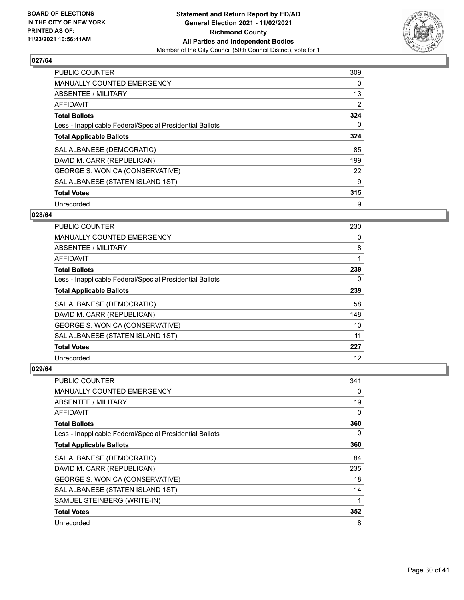

| <b>PUBLIC COUNTER</b>                                    | 309            |
|----------------------------------------------------------|----------------|
| <b>MANUALLY COUNTED EMERGENCY</b>                        | 0              |
| ABSENTEE / MILITARY                                      | 13             |
| AFFIDAVIT                                                | $\overline{2}$ |
| <b>Total Ballots</b>                                     | 324            |
| Less - Inapplicable Federal/Special Presidential Ballots | 0              |
| <b>Total Applicable Ballots</b>                          | 324            |
| SAL ALBANESE (DEMOCRATIC)                                | 85             |
| DAVID M. CARR (REPUBLICAN)                               | 199            |
| GEORGE S. WONICA (CONSERVATIVE)                          | 22             |
| SAL ALBANESE (STATEN ISLAND 1ST)                         | 9              |
| <b>Total Votes</b>                                       | 315            |
| Unrecorded                                               | 9              |

# **028/64**

| PUBLIC COUNTER                                           | 230 |
|----------------------------------------------------------|-----|
| MANUALLY COUNTED EMERGENCY                               | 0   |
| ABSENTEE / MILITARY                                      | 8   |
| AFFIDAVIT                                                |     |
| <b>Total Ballots</b>                                     | 239 |
| Less - Inapplicable Federal/Special Presidential Ballots | 0   |
| <b>Total Applicable Ballots</b>                          | 239 |
| SAL ALBANESE (DEMOCRATIC)                                | 58  |
| DAVID M. CARR (REPUBLICAN)                               | 148 |
| GEORGE S. WONICA (CONSERVATIVE)                          | 10  |
| SAL ALBANESE (STATEN ISLAND 1ST)                         | 11  |
| <b>Total Votes</b>                                       | 227 |
| Unrecorded                                               | 12  |

| PUBLIC COUNTER                                           | 341 |
|----------------------------------------------------------|-----|
| MANUALLY COUNTED EMERGENCY                               | 0   |
| ABSENTEE / MILITARY                                      | 19  |
| AFFIDAVIT                                                | 0   |
| <b>Total Ballots</b>                                     | 360 |
| Less - Inapplicable Federal/Special Presidential Ballots | 0   |
| <b>Total Applicable Ballots</b>                          | 360 |
| SAL ALBANESE (DEMOCRATIC)                                | 84  |
| DAVID M. CARR (REPUBLICAN)                               | 235 |
| GEORGE S. WONICA (CONSERVATIVE)                          | 18  |
| SAL ALBANESE (STATEN ISLAND 1ST)                         | 14  |
| SAMUEL STEINBERG (WRITE-IN)                              | 1   |
| <b>Total Votes</b>                                       | 352 |
| Unrecorded                                               | 8   |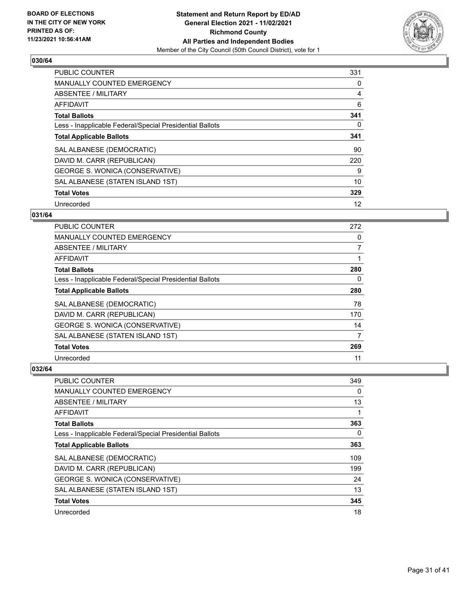

| <b>PUBLIC COUNTER</b>                                    | 331 |
|----------------------------------------------------------|-----|
| MANUALLY COUNTED EMERGENCY                               | 0   |
| ABSENTEE / MILITARY                                      | 4   |
| AFFIDAVIT                                                | 6   |
| <b>Total Ballots</b>                                     | 341 |
| Less - Inapplicable Federal/Special Presidential Ballots | 0   |
| <b>Total Applicable Ballots</b>                          | 341 |
| SAL ALBANESE (DEMOCRATIC)                                | 90  |
| DAVID M. CARR (REPUBLICAN)                               | 220 |
| GEORGE S. WONICA (CONSERVATIVE)                          | 9   |
| SAL ALBANESE (STATEN ISLAND 1ST)                         | 10  |
| <b>Total Votes</b>                                       | 329 |
| Unrecorded                                               | 12  |

# **031/64**

| PUBLIC COUNTER                                           | 272            |
|----------------------------------------------------------|----------------|
| <b>MANUALLY COUNTED EMERGENCY</b>                        | 0              |
| ABSENTEE / MILITARY                                      | $\overline{7}$ |
| AFFIDAVIT                                                |                |
| <b>Total Ballots</b>                                     | 280            |
| Less - Inapplicable Federal/Special Presidential Ballots | 0              |
| <b>Total Applicable Ballots</b>                          | 280            |
| SAL ALBANESE (DEMOCRATIC)                                | 78             |
| DAVID M. CARR (REPUBLICAN)                               | 170            |
| <b>GEORGE S. WONICA (CONSERVATIVE)</b>                   | 14             |
| SAL ALBANESE (STATEN ISLAND 1ST)                         | 7              |
| <b>Total Votes</b>                                       | 269            |
| Unrecorded                                               | 11             |

| PUBLIC COUNTER                                           | 349 |
|----------------------------------------------------------|-----|
| <b>MANUALLY COUNTED EMERGENCY</b>                        | 0   |
| ABSENTEE / MILITARY                                      | 13  |
| AFFIDAVIT                                                |     |
| <b>Total Ballots</b>                                     | 363 |
| Less - Inapplicable Federal/Special Presidential Ballots | 0   |
| <b>Total Applicable Ballots</b>                          | 363 |
| SAL ALBANESE (DEMOCRATIC)                                | 109 |
| DAVID M. CARR (REPUBLICAN)                               | 199 |
| GEORGE S. WONICA (CONSERVATIVE)                          | 24  |
| SAL ALBANESE (STATEN ISLAND 1ST)                         | 13  |
| <b>Total Votes</b>                                       | 345 |
| Unrecorded                                               | 18  |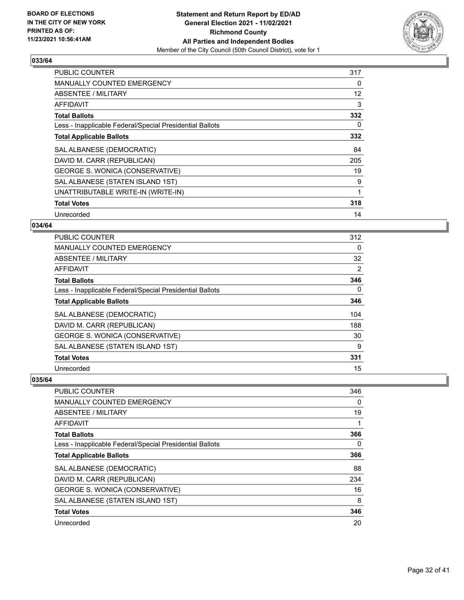

| <b>PUBLIC COUNTER</b>                                    | 317 |
|----------------------------------------------------------|-----|
| <b>MANUALLY COUNTED EMERGENCY</b>                        | 0   |
| ABSENTEE / MILITARY                                      | 12  |
| AFFIDAVIT                                                | 3   |
| <b>Total Ballots</b>                                     | 332 |
| Less - Inapplicable Federal/Special Presidential Ballots | 0   |
| <b>Total Applicable Ballots</b>                          | 332 |
| SAL ALBANESE (DEMOCRATIC)                                | 84  |
| DAVID M. CARR (REPUBLICAN)                               | 205 |
| GEORGE S. WONICA (CONSERVATIVE)                          | 19  |
| SAL ALBANESE (STATEN ISLAND 1ST)                         | 9   |
| UNATTRIBUTABLE WRITE-IN (WRITE-IN)                       |     |
| <b>Total Votes</b>                                       | 318 |
| Unrecorded                                               | 14  |

# **034/64**

| PUBLIC COUNTER                                           | 312      |
|----------------------------------------------------------|----------|
| <b>MANUALLY COUNTED EMERGENCY</b>                        | 0        |
| ABSENTEE / MILITARY                                      | 32       |
| AFFIDAVIT                                                | 2        |
| <b>Total Ballots</b>                                     | 346      |
| Less - Inapplicable Federal/Special Presidential Ballots | $\Omega$ |
| <b>Total Applicable Ballots</b>                          | 346      |
| SAL ALBANESE (DEMOCRATIC)                                | 104      |
| DAVID M. CARR (REPUBLICAN)                               | 188      |
| GEORGE S. WONICA (CONSERVATIVE)                          | 30       |
| SAL ALBANESE (STATEN ISLAND 1ST)                         | 9        |
| <b>Total Votes</b>                                       | 331      |
| Unrecorded                                               | 15       |

| PUBLIC COUNTER                                           | 346      |
|----------------------------------------------------------|----------|
| <b>MANUALLY COUNTED EMERGENCY</b>                        | $\Omega$ |
| ABSENTEE / MILITARY                                      | 19       |
| AFFIDAVIT                                                |          |
| <b>Total Ballots</b>                                     | 366      |
| Less - Inapplicable Federal/Special Presidential Ballots | 0        |
| <b>Total Applicable Ballots</b>                          | 366      |
| SAL ALBANESE (DEMOCRATIC)                                | 88       |
| DAVID M. CARR (REPUBLICAN)                               | 234      |
| <b>GEORGE S. WONICA (CONSERVATIVE)</b>                   | 16       |
| SAL ALBANESE (STATEN ISLAND 1ST)                         | 8        |
| <b>Total Votes</b>                                       | 346      |
| Unrecorded                                               | 20       |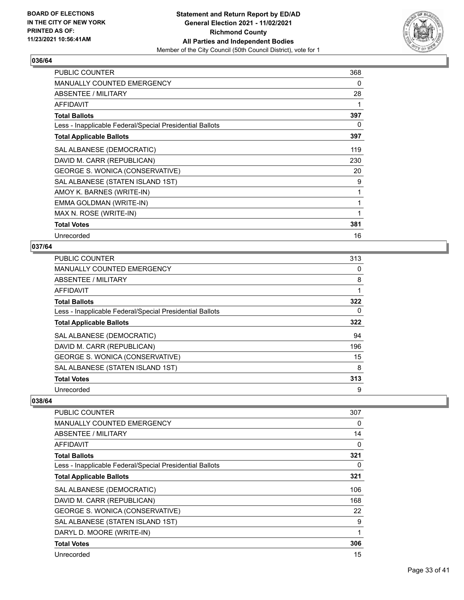

| <b>PUBLIC COUNTER</b>                                    | 368 |
|----------------------------------------------------------|-----|
| <b>MANUALLY COUNTED EMERGENCY</b>                        | 0   |
| ABSENTEE / MILITARY                                      | 28  |
| AFFIDAVIT                                                |     |
| <b>Total Ballots</b>                                     | 397 |
| Less - Inapplicable Federal/Special Presidential Ballots | 0   |
| <b>Total Applicable Ballots</b>                          | 397 |
| SAL ALBANESE (DEMOCRATIC)                                | 119 |
| DAVID M. CARR (REPUBLICAN)                               | 230 |
| GEORGE S. WONICA (CONSERVATIVE)                          | 20  |
| SAL ALBANESE (STATEN ISLAND 1ST)                         | 9   |
| AMOY K. BARNES (WRITE-IN)                                | 1   |
| EMMA GOLDMAN (WRITE-IN)                                  | 1   |
| MAX N. ROSE (WRITE-IN)                                   | 1   |
| <b>Total Votes</b>                                       | 381 |
| Unrecorded                                               | 16  |

# **037/64**

| PUBLIC COUNTER                                           | 313 |
|----------------------------------------------------------|-----|
| <b>MANUALLY COUNTED EMERGENCY</b>                        | 0   |
| ABSENTEE / MILITARY                                      | 8   |
| AFFIDAVIT                                                | 1   |
| <b>Total Ballots</b>                                     | 322 |
| Less - Inapplicable Federal/Special Presidential Ballots | 0   |
| <b>Total Applicable Ballots</b>                          | 322 |
| SAL ALBANESE (DEMOCRATIC)                                | 94  |
| DAVID M. CARR (REPUBLICAN)                               | 196 |
| GEORGE S. WONICA (CONSERVATIVE)                          | 15  |
| SAL ALBANESE (STATEN ISLAND 1ST)                         | 8   |
| <b>Total Votes</b>                                       | 313 |
| Unrecorded                                               | 9   |

| PUBLIC COUNTER                                           | 307      |
|----------------------------------------------------------|----------|
| MANUALLY COUNTED EMERGENCY                               | 0        |
| ABSENTEE / MILITARY                                      | 14       |
| <b>AFFIDAVIT</b>                                         | $\Omega$ |
| <b>Total Ballots</b>                                     | 321      |
| Less - Inapplicable Federal/Special Presidential Ballots | 0        |
| <b>Total Applicable Ballots</b>                          | 321      |
| SAL ALBANESE (DEMOCRATIC)                                | 106      |
| DAVID M. CARR (REPUBLICAN)                               | 168      |
| GEORGE S. WONICA (CONSERVATIVE)                          | 22       |
| SAL ALBANESE (STATEN ISLAND 1ST)                         | 9        |
| DARYL D. MOORE (WRITE-IN)                                | 1        |
| <b>Total Votes</b>                                       | 306      |
| Unrecorded                                               | 15       |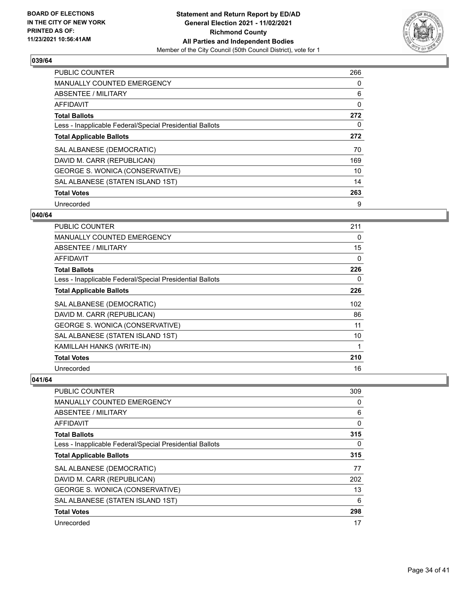

| <b>PUBLIC COUNTER</b>                                    | 266      |
|----------------------------------------------------------|----------|
| <b>MANUALLY COUNTED EMERGENCY</b>                        | 0        |
| ABSENTEE / MILITARY                                      | 6        |
| AFFIDAVIT                                                | 0        |
| <b>Total Ballots</b>                                     | 272      |
| Less - Inapplicable Federal/Special Presidential Ballots | $\Omega$ |
| <b>Total Applicable Ballots</b>                          | 272      |
| SAL ALBANESE (DEMOCRATIC)                                | 70       |
| DAVID M. CARR (REPUBLICAN)                               | 169      |
| GEORGE S. WONICA (CONSERVATIVE)                          | 10       |
| SAL ALBANESE (STATEN ISLAND 1ST)                         | 14       |
| <b>Total Votes</b>                                       | 263      |
| Unrecorded                                               | 9        |

#### **040/64**

| <b>PUBLIC COUNTER</b>                                    | 211 |
|----------------------------------------------------------|-----|
| <b>MANUALLY COUNTED EMERGENCY</b>                        | 0   |
| <b>ABSENTEE / MILITARY</b>                               | 15  |
| AFFIDAVIT                                                | 0   |
| <b>Total Ballots</b>                                     | 226 |
| Less - Inapplicable Federal/Special Presidential Ballots | 0   |
| <b>Total Applicable Ballots</b>                          | 226 |
| SAL ALBANESE (DEMOCRATIC)                                | 102 |
| DAVID M. CARR (REPUBLICAN)                               | 86  |
| GEORGE S. WONICA (CONSERVATIVE)                          | 11  |
| SAL ALBANESE (STATEN ISLAND 1ST)                         | 10  |
| KAMILLAH HANKS (WRITE-IN)                                | 1   |
| <b>Total Votes</b>                                       | 210 |
| Unrecorded                                               | 16  |

| PUBLIC COUNTER                                           | 309      |
|----------------------------------------------------------|----------|
| <b>MANUALLY COUNTED EMERGENCY</b>                        | 0        |
| ABSENTEE / MILITARY                                      | 6        |
| AFFIDAVIT                                                | $\Omega$ |
| <b>Total Ballots</b>                                     | 315      |
| Less - Inapplicable Federal/Special Presidential Ballots | 0        |
| <b>Total Applicable Ballots</b>                          | 315      |
| SAL ALBANESE (DEMOCRATIC)                                | 77       |
| DAVID M. CARR (REPUBLICAN)                               | 202      |
| GEORGE S. WONICA (CONSERVATIVE)                          | 13       |
| SAL ALBANESE (STATEN ISLAND 1ST)                         | 6        |
| <b>Total Votes</b>                                       | 298      |
| Unrecorded                                               | 17       |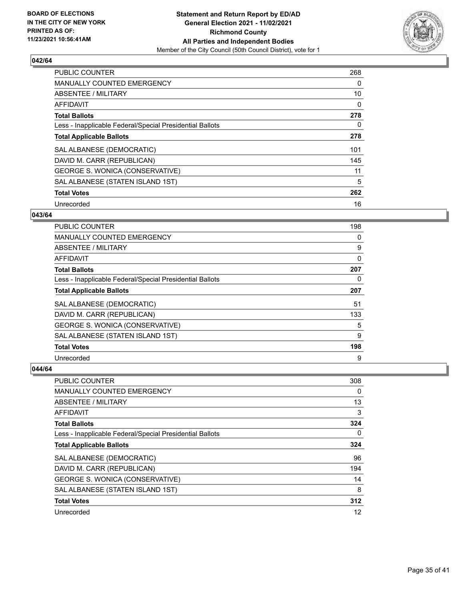

| <b>PUBLIC COUNTER</b>                                    | 268      |
|----------------------------------------------------------|----------|
| <b>MANUALLY COUNTED EMERGENCY</b>                        | 0        |
| ABSENTEE / MILITARY                                      | 10       |
| <b>AFFIDAVIT</b>                                         | $\Omega$ |
| <b>Total Ballots</b>                                     | 278      |
| Less - Inapplicable Federal/Special Presidential Ballots | 0        |
| <b>Total Applicable Ballots</b>                          | 278      |
| SAL ALBANESE (DEMOCRATIC)                                | 101      |
| DAVID M. CARR (REPUBLICAN)                               | 145      |
| GEORGE S. WONICA (CONSERVATIVE)                          | 11       |
| SAL ALBANESE (STATEN ISLAND 1ST)                         | 5        |
| <b>Total Votes</b>                                       | 262      |
| Unrecorded                                               | 16       |

#### **043/64**

| <b>PUBLIC COUNTER</b>                                    | 198 |
|----------------------------------------------------------|-----|
| MANUALLY COUNTED EMERGENCY                               | 0   |
| <b>ABSENTEE / MILITARY</b>                               | 9   |
| AFFIDAVIT                                                | 0   |
| <b>Total Ballots</b>                                     | 207 |
| Less - Inapplicable Federal/Special Presidential Ballots | 0   |
| <b>Total Applicable Ballots</b>                          | 207 |
| SAL ALBANESE (DEMOCRATIC)                                | 51  |
| DAVID M. CARR (REPUBLICAN)                               | 133 |
| GEORGE S. WONICA (CONSERVATIVE)                          | 5   |
| SAL ALBANESE (STATEN ISLAND 1ST)                         | 9   |
| <b>Total Votes</b>                                       | 198 |
| Unrecorded                                               | 9   |

| PUBLIC COUNTER                                           | 308 |
|----------------------------------------------------------|-----|
| MANUALLY COUNTED EMERGENCY                               | 0   |
| ABSENTEE / MILITARY                                      | 13  |
| AFFIDAVIT                                                | 3   |
| <b>Total Ballots</b>                                     | 324 |
| Less - Inapplicable Federal/Special Presidential Ballots | 0   |
| <b>Total Applicable Ballots</b>                          | 324 |
| SAL ALBANESE (DEMOCRATIC)                                | 96  |
| DAVID M. CARR (REPUBLICAN)                               | 194 |
| GEORGE S. WONICA (CONSERVATIVE)                          | 14  |
| SAL ALBANESE (STATEN ISLAND 1ST)                         | 8   |
| <b>Total Votes</b>                                       | 312 |
| Unrecorded                                               | 12  |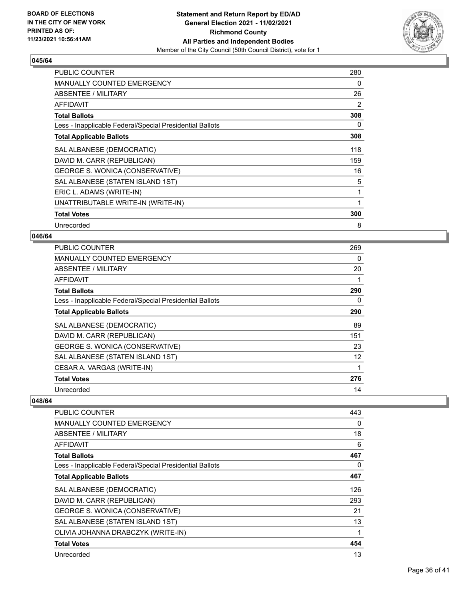

| <b>PUBLIC COUNTER</b>                                    | 280 |
|----------------------------------------------------------|-----|
| <b>MANUALLY COUNTED EMERGENCY</b>                        | 0   |
| ABSENTEE / MILITARY                                      | 26  |
| AFFIDAVIT                                                | 2   |
| <b>Total Ballots</b>                                     | 308 |
| Less - Inapplicable Federal/Special Presidential Ballots | 0   |
| <b>Total Applicable Ballots</b>                          | 308 |
| SAL ALBANESE (DEMOCRATIC)                                | 118 |
| DAVID M. CARR (REPUBLICAN)                               | 159 |
| GEORGE S. WONICA (CONSERVATIVE)                          | 16  |
| SAL ALBANESE (STATEN ISLAND 1ST)                         | 5   |
| ERIC L. ADAMS (WRITE-IN)                                 | 1   |
| UNATTRIBUTABLE WRITE-IN (WRITE-IN)                       | 1   |
| <b>Total Votes</b>                                       | 300 |
| Unrecorded                                               | 8   |

# **046/64**

| <b>PUBLIC COUNTER</b>                                    | 269 |
|----------------------------------------------------------|-----|
| <b>MANUALLY COUNTED EMERGENCY</b>                        | 0   |
| ABSENTEE / MILITARY                                      | 20  |
| AFFIDAVIT                                                |     |
| <b>Total Ballots</b>                                     | 290 |
| Less - Inapplicable Federal/Special Presidential Ballots | 0   |
| <b>Total Applicable Ballots</b>                          | 290 |
| SAL ALBANESE (DEMOCRATIC)                                | 89  |
| DAVID M. CARR (REPUBLICAN)                               | 151 |
| <b>GEORGE S. WONICA (CONSERVATIVE)</b>                   | 23  |
| SAL ALBANESE (STATEN ISLAND 1ST)                         | 12  |
| CESAR A. VARGAS (WRITE-IN)                               |     |
| <b>Total Votes</b>                                       | 276 |
| Unrecorded                                               | 14  |

| PUBLIC COUNTER                                           | 443 |
|----------------------------------------------------------|-----|
| MANUALLY COUNTED EMERGENCY                               | 0   |
| ABSENTEE / MILITARY                                      | 18  |
| <b>AFFIDAVIT</b>                                         | 6   |
| <b>Total Ballots</b>                                     | 467 |
| Less - Inapplicable Federal/Special Presidential Ballots | 0   |
| <b>Total Applicable Ballots</b>                          | 467 |
| SAL ALBANESE (DEMOCRATIC)                                | 126 |
| DAVID M. CARR (REPUBLICAN)                               | 293 |
| GEORGE S. WONICA (CONSERVATIVE)                          | 21  |
| SAL ALBANESE (STATEN ISLAND 1ST)                         | 13  |
| OLIVIA JOHANNA DRABCZYK (WRITE-IN)                       | 1   |
| <b>Total Votes</b>                                       | 454 |
| Unrecorded                                               | 13  |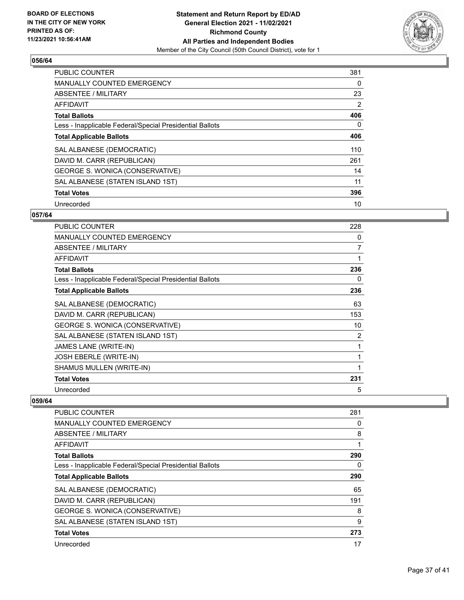

| <b>PUBLIC COUNTER</b>                                    | 381            |
|----------------------------------------------------------|----------------|
| <b>MANUALLY COUNTED EMERGENCY</b>                        | 0              |
| ABSENTEE / MILITARY                                      | 23             |
| <b>AFFIDAVIT</b>                                         | $\overline{2}$ |
| <b>Total Ballots</b>                                     | 406            |
| Less - Inapplicable Federal/Special Presidential Ballots | 0              |
| <b>Total Applicable Ballots</b>                          | 406            |
| SAL ALBANESE (DEMOCRATIC)                                | 110            |
| DAVID M. CARR (REPUBLICAN)                               | 261            |
| GEORGE S. WONICA (CONSERVATIVE)                          | 14             |
| SAL ALBANESE (STATEN ISLAND 1ST)                         | 11             |
| <b>Total Votes</b>                                       | 396            |
| Unrecorded                                               | 10             |

# **057/64**

| <b>PUBLIC COUNTER</b>                                    | 228            |
|----------------------------------------------------------|----------------|
| <b>MANUALLY COUNTED EMERGENCY</b>                        | 0              |
| ABSENTEE / MILITARY                                      | 7              |
| <b>AFFIDAVIT</b>                                         | 1              |
| <b>Total Ballots</b>                                     | 236            |
| Less - Inapplicable Federal/Special Presidential Ballots | 0              |
| <b>Total Applicable Ballots</b>                          | 236            |
| SAL ALBANESE (DEMOCRATIC)                                | 63             |
| DAVID M. CARR (REPUBLICAN)                               | 153            |
| GEORGE S. WONICA (CONSERVATIVE)                          | 10             |
| SAL ALBANESE (STATEN ISLAND 1ST)                         | $\overline{2}$ |
| JAMES LANE (WRITE-IN)                                    | 1              |
| JOSH EBERLE (WRITE-IN)                                   |                |
| SHAMUS MULLEN (WRITE-IN)                                 |                |
| <b>Total Votes</b>                                       | 231            |
| Unrecorded                                               | 5              |

| <b>PUBLIC COUNTER</b>                                    | 281      |
|----------------------------------------------------------|----------|
| <b>MANUALLY COUNTED EMERGENCY</b>                        | 0        |
| ABSENTEE / MILITARY                                      | 8        |
| AFFIDAVIT                                                | 1        |
| <b>Total Ballots</b>                                     | 290      |
| Less - Inapplicable Federal/Special Presidential Ballots | $\Omega$ |
| <b>Total Applicable Ballots</b>                          | 290      |
| SAL ALBANESE (DEMOCRATIC)                                | 65       |
| DAVID M. CARR (REPUBLICAN)                               | 191      |
| GEORGE S. WONICA (CONSERVATIVE)                          | 8        |
| SAL ALBANESE (STATEN ISLAND 1ST)                         | 9        |
| <b>Total Votes</b>                                       | 273      |
| Unrecorded                                               | 17       |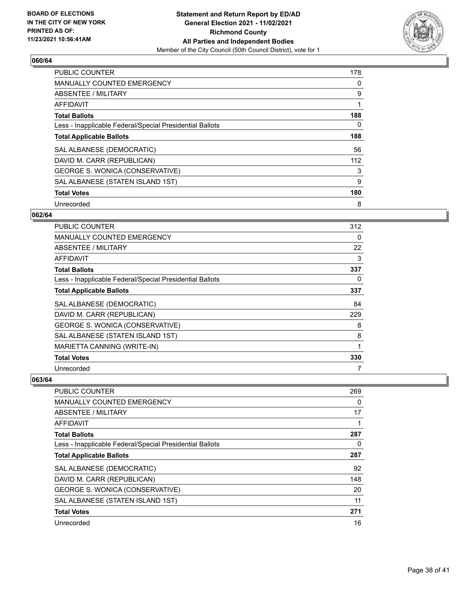

| <b>PUBLIC COUNTER</b>                                    | 178 |
|----------------------------------------------------------|-----|
| <b>MANUALLY COUNTED EMERGENCY</b>                        | 0   |
| ABSENTEE / MILITARY                                      | 9   |
| <b>AFFIDAVIT</b>                                         |     |
| <b>Total Ballots</b>                                     | 188 |
| Less - Inapplicable Federal/Special Presidential Ballots | 0   |
| <b>Total Applicable Ballots</b>                          | 188 |
| SAL ALBANESE (DEMOCRATIC)                                | 56  |
| DAVID M. CARR (REPUBLICAN)                               | 112 |
| GEORGE S. WONICA (CONSERVATIVE)                          | 3   |
| SAL ALBANESE (STATEN ISLAND 1ST)                         | 9   |
| <b>Total Votes</b>                                       | 180 |
| Unrecorded                                               | 8   |

# **062/64**

| <b>PUBLIC COUNTER</b>                                    | 312 |
|----------------------------------------------------------|-----|
| <b>MANUALLY COUNTED EMERGENCY</b>                        | 0   |
| ABSENTEE / MILITARY                                      | 22  |
| AFFIDAVIT                                                | 3   |
| <b>Total Ballots</b>                                     | 337 |
| Less - Inapplicable Federal/Special Presidential Ballots | 0   |
| <b>Total Applicable Ballots</b>                          | 337 |
| SAL ALBANESE (DEMOCRATIC)                                | 84  |
| DAVID M. CARR (REPUBLICAN)                               | 229 |
| GEORGE S. WONICA (CONSERVATIVE)                          | 8   |
| SAL ALBANESE (STATEN ISLAND 1ST)                         | 8   |
| MARIETTA CANNING (WRITE-IN)                              | 1   |
| <b>Total Votes</b>                                       | 330 |
| Unrecorded                                               | 7   |

| PUBLIC COUNTER                                           | 269      |
|----------------------------------------------------------|----------|
| <b>MANUALLY COUNTED EMERGENCY</b>                        | $\Omega$ |
| ABSENTEE / MILITARY                                      | 17       |
| AFFIDAVIT                                                |          |
| <b>Total Ballots</b>                                     | 287      |
| Less - Inapplicable Federal/Special Presidential Ballots | 0        |
| <b>Total Applicable Ballots</b>                          | 287      |
| SAL ALBANESE (DEMOCRATIC)                                | 92       |
| DAVID M. CARR (REPUBLICAN)                               | 148      |
| <b>GEORGE S. WONICA (CONSERVATIVE)</b>                   | 20       |
| SAL ALBANESE (STATEN ISLAND 1ST)                         | 11       |
| <b>Total Votes</b>                                       | 271      |
| Unrecorded                                               | 16       |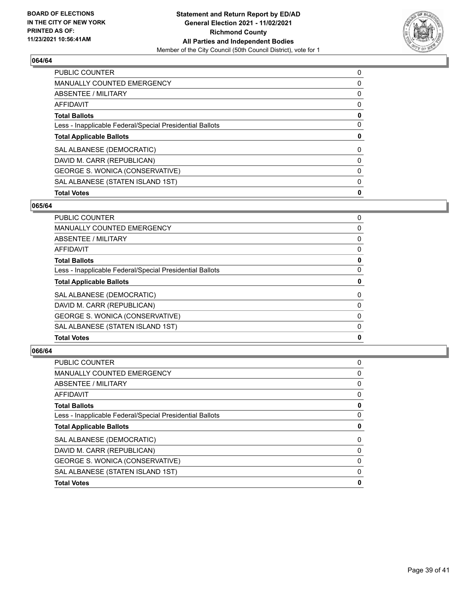

| <b>Total Votes</b>                                       | 0        |
|----------------------------------------------------------|----------|
| SAL ALBANESE (STATEN ISLAND 1ST)                         | 0        |
| GEORGE S. WONICA (CONSERVATIVE)                          | 0        |
| DAVID M. CARR (REPUBLICAN)                               | $\Omega$ |
| SAL ALBANESE (DEMOCRATIC)                                | $\Omega$ |
| <b>Total Applicable Ballots</b>                          | 0        |
| Less - Inapplicable Federal/Special Presidential Ballots | 0        |
| <b>Total Ballots</b>                                     | 0        |
| AFFIDAVIT                                                | $\Omega$ |
| ABSENTEE / MILITARY                                      | 0        |
| MANUALLY COUNTED EMERGENCY                               | 0        |
| <b>PUBLIC COUNTER</b>                                    | 0        |

# **065/64**

| PUBLIC COUNTER                                           | 0        |
|----------------------------------------------------------|----------|
| MANUALLY COUNTED EMERGENCY                               | 0        |
| ABSENTEE / MILITARY                                      | 0        |
| AFFIDAVIT                                                | 0        |
| <b>Total Ballots</b>                                     | 0        |
| Less - Inapplicable Federal/Special Presidential Ballots | 0        |
| <b>Total Applicable Ballots</b>                          | 0        |
| SAL ALBANESE (DEMOCRATIC)                                | $\Omega$ |
| DAVID M. CARR (REPUBLICAN)                               | 0        |
| GEORGE S. WONICA (CONSERVATIVE)                          | 0        |
| SAL ALBANESE (STATEN ISLAND 1ST)                         | 0        |
| <b>Total Votes</b>                                       | 0        |

| PUBLIC COUNTER                                           | 0 |
|----------------------------------------------------------|---|
| MANUALLY COUNTED EMERGENCY                               | 0 |
| <b>ABSENTEE / MILITARY</b>                               | 0 |
| AFFIDAVIT                                                | 0 |
| <b>Total Ballots</b>                                     | 0 |
| Less - Inapplicable Federal/Special Presidential Ballots | 0 |
| <b>Total Applicable Ballots</b>                          | 0 |
| SAL ALBANESE (DEMOCRATIC)                                | 0 |
| DAVID M. CARR (REPUBLICAN)                               | 0 |
| GEORGE S. WONICA (CONSERVATIVE)                          | 0 |
| SAL ALBANESE (STATEN ISLAND 1ST)                         | 0 |
| <b>Total Votes</b>                                       | 0 |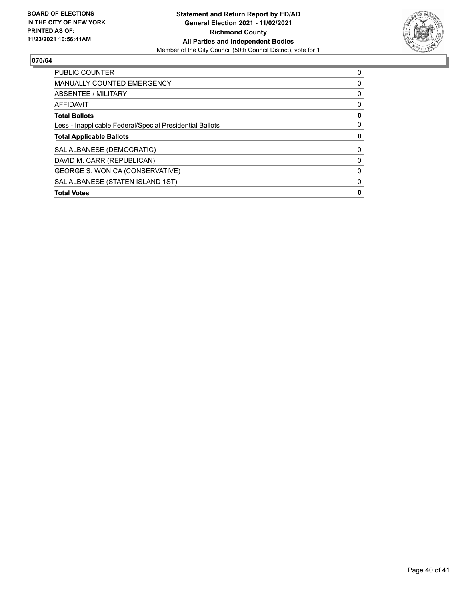

| <b>PUBLIC COUNTER</b>                                    | 0 |
|----------------------------------------------------------|---|
| <b>MANUALLY COUNTED EMERGENCY</b>                        | 0 |
| ABSENTEE / MILITARY                                      | 0 |
| <b>AFFIDAVIT</b>                                         | 0 |
| <b>Total Ballots</b>                                     | 0 |
| Less - Inapplicable Federal/Special Presidential Ballots | 0 |
| <b>Total Applicable Ballots</b>                          | 0 |
| SAL ALBANESE (DEMOCRATIC)                                | 0 |
| DAVID M. CARR (REPUBLICAN)                               | 0 |
| GEORGE S. WONICA (CONSERVATIVE)                          | 0 |
| SAL ALBANESE (STATEN ISLAND 1ST)                         | 0 |
| <b>Total Votes</b>                                       | 0 |